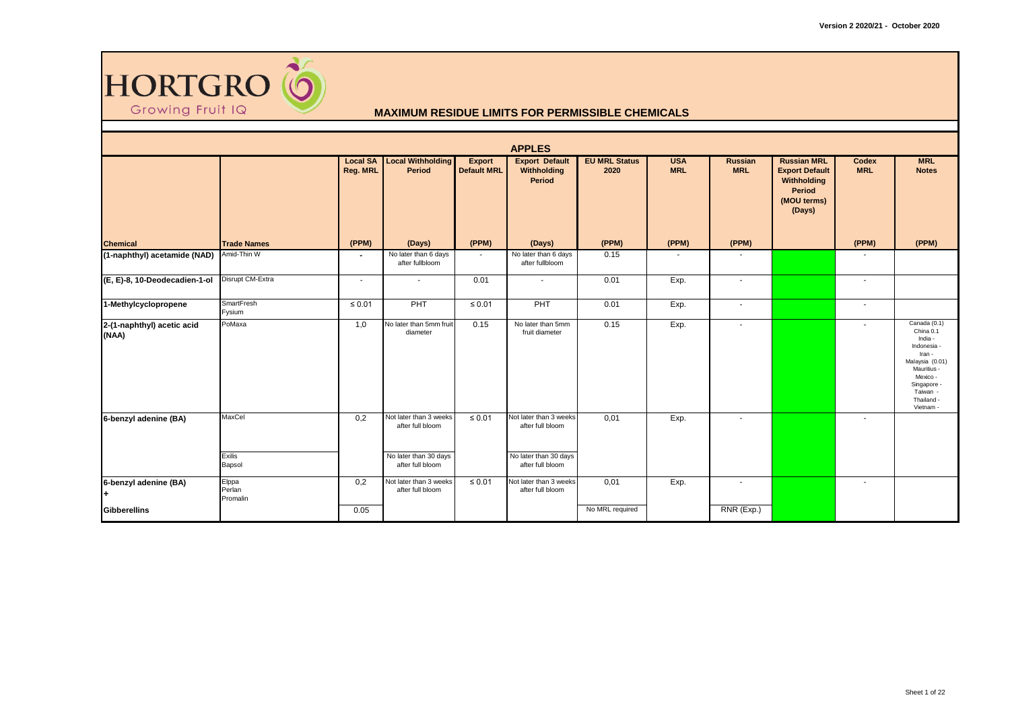

|                                     |                             |                             |                                                                                         |                                     | <b>APPLES</b>                                                                           |                              |                          |                              |                                                                                               |                     |                                                                                                                                                                      |
|-------------------------------------|-----------------------------|-----------------------------|-----------------------------------------------------------------------------------------|-------------------------------------|-----------------------------------------------------------------------------------------|------------------------------|--------------------------|------------------------------|-----------------------------------------------------------------------------------------------|---------------------|----------------------------------------------------------------------------------------------------------------------------------------------------------------------|
|                                     |                             | <b>Local SA</b><br>Reg. MRL | <b>Local Withholding</b><br>Period                                                      | <b>Export</b><br><b>Default MRL</b> | <b>Export Default</b><br>Withholding<br>Period                                          | <b>EU MRL Status</b><br>2020 | <b>USA</b><br><b>MRL</b> | <b>Russian</b><br><b>MRL</b> | <b>Russian MRL</b><br><b>Export Default</b><br>Withholding<br>Period<br>(MOU terms)<br>(Days) | Codex<br><b>MRL</b> | <b>MRL</b><br><b>Notes</b>                                                                                                                                           |
| <b>Chemical</b>                     | <b>Trade Names</b>          | (PPM)                       | (Days)                                                                                  | (PPM)                               | (Days)                                                                                  | (PPM)                        | (PPM)                    | (PPM)                        |                                                                                               | (PPM)               | (PPM)                                                                                                                                                                |
| (1-naphthyl) acetamide (NAD)        | Amid-Thin W                 | $\blacksquare$              | No later than 6 days<br>after fullbloom                                                 | $\sim$                              | No later than 6 days<br>after fullbloom                                                 | 0.15                         | $\sim$                   | $\blacksquare$               |                                                                                               | $\sim$              |                                                                                                                                                                      |
| (E, E)-8, 10-Deodecadien-1-ol       | Disrupt CM-Extra            | $\sim$                      | $\overline{\phantom{a}}$                                                                | 0.01                                | $\blacksquare$                                                                          | 0.01                         | Exp.                     | $\overline{\phantom{a}}$     |                                                                                               | $\sim$              |                                                                                                                                                                      |
| 1-Methylcyclopropene                | SmartFresh<br>Fysium        | $\leq 0.01$                 | PHT                                                                                     | $\leq 0.01$                         | PHT                                                                                     | 0.01                         | Exp.                     | $\overline{\phantom{a}}$     |                                                                                               | $\sim$              |                                                                                                                                                                      |
| 2-(1-naphthyl) acetic acid<br>(NAA) | PoMaxa                      | 1,0                         | No later than 5mm fruit<br>diameter                                                     | 0.15                                | No later than 5mm<br>fruit diameter                                                     | 0.15                         | Exp.                     | $\overline{\phantom{a}}$     |                                                                                               |                     | Canada (0.1)<br>China 0.1<br>India -<br>Indonesia -<br>Iran -<br>Malaysia (0.01)<br><b>Mauritius</b><br>Mexico -<br>Singapore<br>Taiwan -<br>Thailand -<br>Vietnam - |
| 6-benzyl adenine (BA)               | MaxCel<br>Exilis<br>Bapsol  | 0,2                         | Not later than 3 weeks<br>after full bloom<br>No later than 30 days<br>after full bloom | $\leq 0.01$                         | Not later than 3 weeks<br>after full bloom<br>No later than 30 days<br>after full bloom | 0,01                         | Exp.                     | $\overline{\phantom{a}}$     |                                                                                               | $\sim$              |                                                                                                                                                                      |
| 6-benzyl adenine (BA)<br>l+         | Elppa<br>Perlan<br>Promalin | 0,2                         | Not later than 3 weeks<br>after full bloom                                              | $\leq 0.01$                         | Not later than 3 weeks<br>after full bloom                                              | 0,01                         | Exp.                     | $\sim$                       |                                                                                               | $\sim$              |                                                                                                                                                                      |
| <b>Gibberellins</b>                 |                             | 0.05                        |                                                                                         |                                     |                                                                                         | No MRL required              |                          | RNR (Exp.)                   |                                                                                               |                     |                                                                                                                                                                      |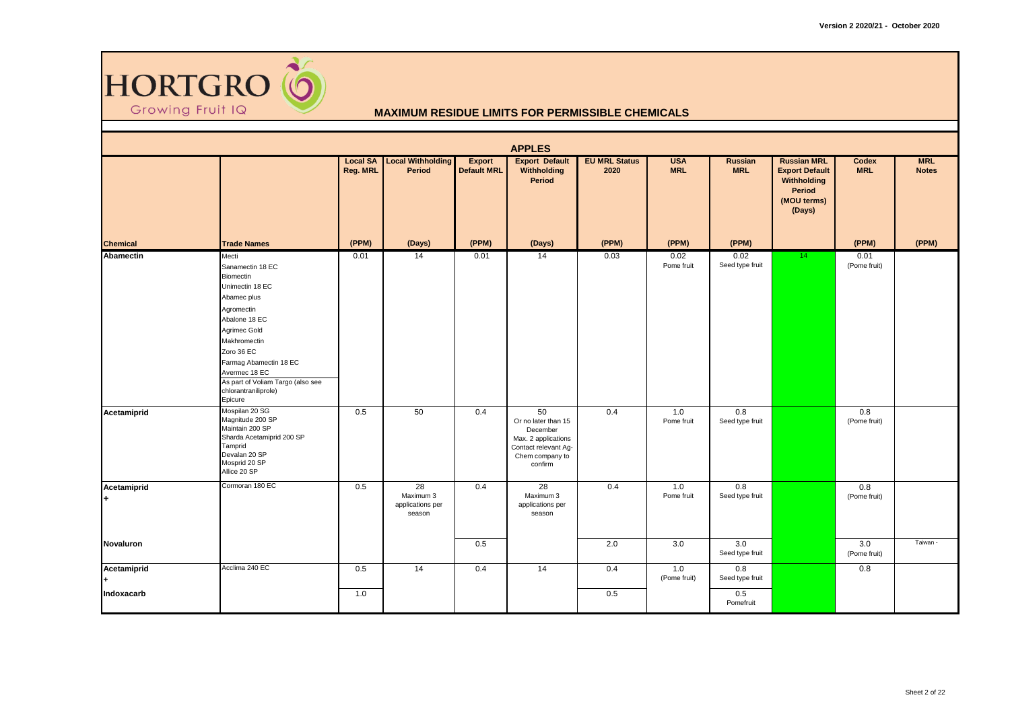

|                  |                                                                                                                                                                                                                                                                          |                             |                                                            |                                     | <b>APPLES</b>                                                                                                      |                              |                          |                         |                                                                                               |                      |                            |
|------------------|--------------------------------------------------------------------------------------------------------------------------------------------------------------------------------------------------------------------------------------------------------------------------|-----------------------------|------------------------------------------------------------|-------------------------------------|--------------------------------------------------------------------------------------------------------------------|------------------------------|--------------------------|-------------------------|-----------------------------------------------------------------------------------------------|----------------------|----------------------------|
|                  |                                                                                                                                                                                                                                                                          | <b>Local SA</b><br>Reg. MRL | <b>Local Withholding</b><br>Period                         | <b>Export</b><br><b>Default MRL</b> | <b>Export Default</b><br>Withholding<br>Period                                                                     | <b>EU MRL Status</b><br>2020 | <b>USA</b><br><b>MRL</b> | Russian<br><b>MRL</b>   | <b>Russian MRL</b><br><b>Export Default</b><br>Withholding<br>Period<br>(MOU terms)<br>(Days) | Codex<br><b>MRL</b>  | <b>MRL</b><br><b>Notes</b> |
| <b>Chemical</b>  | <b>Trade Names</b>                                                                                                                                                                                                                                                       | (PPM)                       | (Days)                                                     | (PPM)                               | (Days)                                                                                                             | (PPM)                        | (PPM)                    | (PPM)                   |                                                                                               | (PPM)                | (PPM)                      |
| <b>Abamectin</b> | Mecti<br>Sanamectin 18 EC<br>Biomectin<br>Unimectin 18 EC<br>Abamec plus<br>Agromectin<br>Abalone 18 EC<br>Agrimec Gold<br>Makhromectin<br>Zoro 36 EC<br>Farmag Abamectin 18 EC<br>Avermec 18 EC<br>As part of Voliam Targo (also see<br>chlorantraniliprole)<br>Epicure | 0.01                        | 14                                                         | 0.01                                | 14                                                                                                                 | 0.03                         | 0.02<br>Pome fruit       | 0.02<br>Seed type fruit | 14                                                                                            | 0.01<br>(Pome fruit) |                            |
| Acetamiprid      | Mospilan 20 SG<br>Magnitude 200 SP<br>Maintain 200 SP<br>Sharda Acetamiprid 200 SP<br>Tamprid<br>Devalan 20 SP<br>Mosprid 20 SP<br>Allice 20 SP                                                                                                                          | 0.5                         | 50                                                         | 0.4                                 | 50<br>Or no later than 15<br>December<br>Max. 2 applications<br>Contact relevant Ag-<br>Chem company to<br>confirm | 0.4                          | 1.0<br>Pome fruit        | 0.8<br>Seed type fruit  |                                                                                               | 0.8<br>(Pome fruit)  |                            |
| Acetamiprid<br>÷ | Cormoran 180 EC                                                                                                                                                                                                                                                          | 0.5                         | $\overline{28}$<br>Maximum 3<br>applications per<br>season | 0.4                                 | $\overline{28}$<br>Maximum 3<br>applications per<br>season                                                         | 0.4                          | 1.0<br>Pome fruit        | 0.8<br>Seed type fruit  |                                                                                               | 0.8<br>(Pome fruit)  |                            |
| Novaluron        |                                                                                                                                                                                                                                                                          |                             |                                                            | 0.5                                 |                                                                                                                    | 2.0                          | 3.0                      | 3.0<br>Seed type fruit  |                                                                                               | 3.0<br>(Pome fruit)  | Taiwan -                   |
| Acetamiprid      | Acclima 240 EC                                                                                                                                                                                                                                                           | 0.5                         | 14                                                         | 0.4                                 | 14                                                                                                                 | 0.4                          | 1.0<br>(Pome fruit)      | 0.8<br>Seed type fruit  |                                                                                               | 0.8                  |                            |
| Indoxacarb       |                                                                                                                                                                                                                                                                          | 1.0                         |                                                            |                                     |                                                                                                                    | 0.5                          |                          | 0.5<br>Pomefruit        |                                                                                               |                      |                            |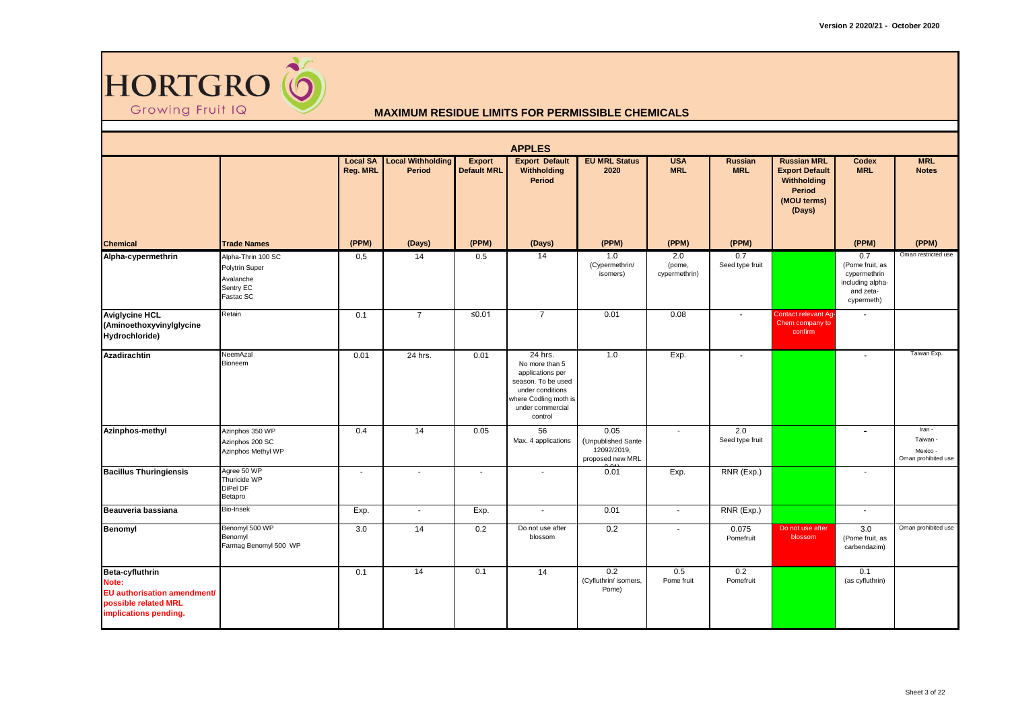

|                                                                                                          |                                                                             |                             |                                           |                                     | <b>APPLES</b>                                                                                                                                   |                                                               |                                |                          |                                                                                                      |                                                                                       |                                                       |
|----------------------------------------------------------------------------------------------------------|-----------------------------------------------------------------------------|-----------------------------|-------------------------------------------|-------------------------------------|-------------------------------------------------------------------------------------------------------------------------------------------------|---------------------------------------------------------------|--------------------------------|--------------------------|------------------------------------------------------------------------------------------------------|---------------------------------------------------------------------------------------|-------------------------------------------------------|
|                                                                                                          |                                                                             | <b>Local SA</b><br>Reg. MRL | <b>Local Withholding</b><br><b>Period</b> | <b>Export</b><br><b>Default MRL</b> | <b>Export Default</b><br>Withholding<br><b>Period</b>                                                                                           | <b>EU MRL Status</b><br>2020                                  | <b>USA</b><br><b>MRL</b>       | Russian<br><b>MRL</b>    | <b>Russian MRL</b><br><b>Export Default</b><br>Withholding<br><b>Period</b><br>(MOU terms)<br>(Days) | <b>Codex</b><br><b>MRL</b>                                                            | <b>MRL</b><br><b>Notes</b>                            |
| <b>Chemical</b>                                                                                          | <b>Trade Names</b>                                                          | (PPM)                       | (Days)                                    | (PPM)                               | (Days)                                                                                                                                          | (PPM)                                                         | (PPM)                          | (PPM)                    |                                                                                                      | (PPM)                                                                                 | (PPM)                                                 |
| Alpha-cypermethrin                                                                                       | Alpha-Thrin 100 SC<br>Polytrin Super<br>Avalanche<br>Sentry EC<br>Fastac SC | 0,5                         | 14                                        | 0.5                                 | 14                                                                                                                                              | 1.0<br>(Cypermethrin/<br>isomers)                             | 2.0<br>(pome,<br>cypermethrin) | 0.7<br>Seed type fruit   |                                                                                                      | 0.7<br>(Pome fruit, as<br>cypermethrin<br>including alpha-<br>and zeta-<br>cypermeth) | Oman restricted use                                   |
| <b>Aviglycine HCL</b><br>(Aminoethoxyvinylglycine<br>Hydrochloride)                                      | Retain                                                                      | 0.1                         | $\overline{7}$                            | $≤0.01$                             | $\overline{7}$                                                                                                                                  | 0.01                                                          | 0.08                           | $\overline{\phantom{a}}$ | <b>Contact relevant Ag</b><br>Chem company to<br>confirm                                             |                                                                                       |                                                       |
| <b>Azadirachtin</b>                                                                                      | NeemAzal<br>Bioneem                                                         | 0.01                        | 24 hrs.                                   | 0.01                                | 24 hrs.<br>No more than 5<br>applications per<br>season. To be used<br>under conditions<br>where Codling moth is<br>under commercial<br>control | 1.0                                                           | Exp.                           |                          |                                                                                                      | $\overline{\phantom{a}}$                                                              | Taiwan Exp.                                           |
| Azinphos-methyl                                                                                          | Azinphos 350 WP<br>Azinphos 200 SC<br>Azinphos Methyl WP                    | 0.4                         | 14                                        | 0.05                                | 56<br>Max. 4 applications                                                                                                                       | 0.05<br>(Unpublished Sante<br>12092/2019.<br>proposed new MRL | $\mathbf{r}$                   | 2.0<br>Seed type fruit   |                                                                                                      | $\overline{\phantom{a}}$                                                              | Iran -<br>Taiwan -<br>Mexico -<br>Oman prohibited use |
| <b>Bacillus Thuringiensis</b>                                                                            | Agree 50 WP<br>Thuricide WP<br>DiPel DF<br>Betapro                          | $\overline{\phantom{a}}$    | $\overline{\phantom{a}}$                  | $\blacksquare$                      | $\overline{\phantom{a}}$                                                                                                                        | 0.01                                                          | Exp.                           | RNR (Exp.)               |                                                                                                      | $\sim$                                                                                |                                                       |
| Beauveria bassiana                                                                                       | Bio-Insek                                                                   | Exp.                        | $\sim$                                    | Exp.                                | $\sim$                                                                                                                                          | 0.01                                                          | $\sim$                         | RNR (Exp.)               |                                                                                                      | $\sim$                                                                                |                                                       |
| Benomyl                                                                                                  | Benomyl 500 WP<br>Benomyl<br>Farmag Benomyl 500 WP                          | 3.0                         | 14                                        | 0.2                                 | Do not use after<br>blossom                                                                                                                     | 0.2                                                           | $\sim$                         | 0.075<br>Pomefruit       | Do not use after<br>blossom                                                                          | 3.0<br>(Pome fruit, as<br>carbendazim)                                                | Oman prohibited use                                   |
| Beta-cyfluthrin<br>Note:<br>EU authorisation amendment/<br>possible related MRL<br>implications pending. |                                                                             | 0.1                         | 14                                        | 0.1                                 | 14                                                                                                                                              | 0.2<br>(Cyfluthrin/ isomers,<br>Pome)                         | 0.5<br>Pome fruit              | 0.2<br>Pomefruit         |                                                                                                      | 0.1<br>(as cyfluthrin)                                                                |                                                       |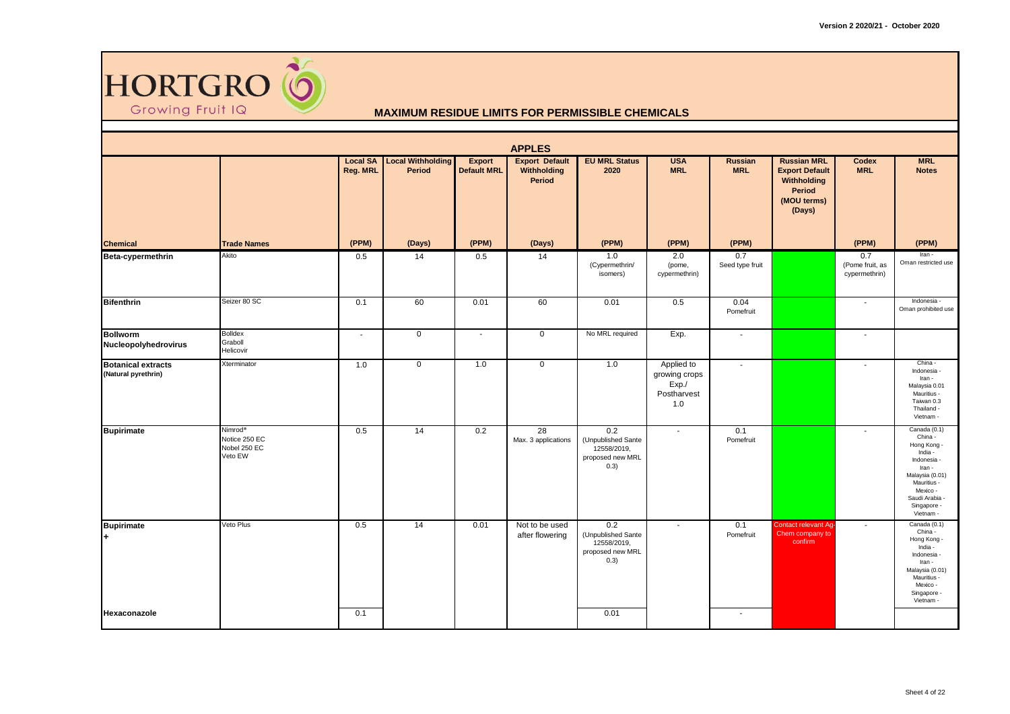

|                                                  |                                                                 |                          |                                                    |                                     | <b>APPLES</b>                                         |                                                                       |                                                            |                          |                                                                                                      |                                         |                                                                                                                                                                      |
|--------------------------------------------------|-----------------------------------------------------------------|--------------------------|----------------------------------------------------|-------------------------------------|-------------------------------------------------------|-----------------------------------------------------------------------|------------------------------------------------------------|--------------------------|------------------------------------------------------------------------------------------------------|-----------------------------------------|----------------------------------------------------------------------------------------------------------------------------------------------------------------------|
|                                                  |                                                                 | Reg. MRL                 | <b>Local SA Local Withholding</b><br><b>Period</b> | <b>Export</b><br><b>Default MRL</b> | <b>Export Default</b><br>Withholding<br><b>Period</b> | <b>EU MRL Status</b><br>2020                                          | <b>USA</b><br><b>MRL</b>                                   | Russian<br><b>MRL</b>    | <b>Russian MRL</b><br><b>Export Default</b><br>Withholding<br><b>Period</b><br>(MOU terms)<br>(Days) | Codex<br><b>MRL</b>                     | <b>MRL</b><br><b>Notes</b>                                                                                                                                           |
| <b>Chemical</b>                                  | <b>Trade Names</b>                                              | (PPM)                    | (Days)                                             | (PPM)                               | (Days)                                                | (PPM)                                                                 | (PPM)                                                      | (PPM)                    |                                                                                                      | (PPM)                                   | (PPM)                                                                                                                                                                |
| Beta-cypermethrin                                | Akito                                                           | 0.5                      | 14                                                 | 0.5                                 | 14                                                    | 1.0<br>(Cypermethrin/<br>isomers)                                     | 2.0<br>(pome,<br>cypermethrin)                             | 0.7<br>Seed type fruit   |                                                                                                      | 0.7<br>(Pome fruit, as<br>cypermethrin) | Iran -<br>Oman restricted use                                                                                                                                        |
| <b>Bifenthrin</b>                                | Seizer 80 SC                                                    | 0.1                      | 60                                                 | 0.01                                | 60                                                    | 0.01                                                                  | 0.5                                                        | 0.04<br>Pomefruit        |                                                                                                      | $\blacksquare$                          | Indonesia -<br>Oman prohibited use                                                                                                                                   |
| <b>Bollworm</b><br>Nucleopolyhedrovirus          | <b>Bolldex</b><br>Graboll<br>Helicovir                          | $\overline{\phantom{a}}$ | $\mathsf 0$                                        |                                     | $\mathbf 0$                                           | No MRL required                                                       | Exp.                                                       | $\overline{\phantom{a}}$ |                                                                                                      | $\sim$                                  |                                                                                                                                                                      |
| <b>Botanical extracts</b><br>(Natural pyrethrin) | Xterminator                                                     | 1.0                      | $\mathbf 0$                                        | 1.0                                 | $\mathsf 0$                                           | 1.0                                                                   | Applied to<br>growing crops<br>Exp./<br>Postharvest<br>1.0 | $\blacksquare$           |                                                                                                      | $\blacksquare$                          | China -<br>Indonesia -<br>Iran -<br>Malaysia 0.01<br>Mauritius -<br>Taiwan 0.3<br>Thailand -<br>Vietnam -                                                            |
| <b>Bupirimate</b>                                | Nimrod <sup>®</sup><br>Notice 250 EC<br>Nobel 250 EC<br>Veto EW | 0.5                      | 14                                                 | 0.2                                 | $\overline{28}$<br>Max. 3 applications                | 0.2<br>(Unpublished Sante<br>12558/2019,<br>proposed new MRL<br>(0.3) | $\mathcal{L}_{\mathcal{A}}$                                | 0.1<br>Pomefruit         |                                                                                                      | $\sim$                                  | Canada (0.1)<br>China -<br>Hong Kong -<br>India -<br>Indonesia -<br>Iran -<br>Malaysia (0.01)<br>Mauritius -<br>Mexico -<br>Saudi Arabia<br>Singapore -<br>Vietnam - |
| <b>Bupirimate</b>                                | Veto Plus                                                       | 0.5                      | 14                                                 | 0.01                                | Not to be used<br>after flowering                     | 0.2<br>(Unpublished Sante<br>12558/2019,<br>proposed new MRL<br>(0.3) | $\overline{\phantom{a}}$                                   | 0.1<br>Pomefruit         | Contact relevant Ag<br>Chem company to<br>confirm                                                    | $\sim$                                  | Canada (0.1)<br>China -<br>Hong Kong -<br>India -<br>Indonesia -<br>Iran -<br>Malaysia (0.01)<br>Mauritius -<br>Mexico -<br>Singapore -<br>Vietnam -                 |
| Hexaconazole                                     |                                                                 | 0.1                      |                                                    |                                     |                                                       | 0.01                                                                  |                                                            | $\sim$                   |                                                                                                      |                                         |                                                                                                                                                                      |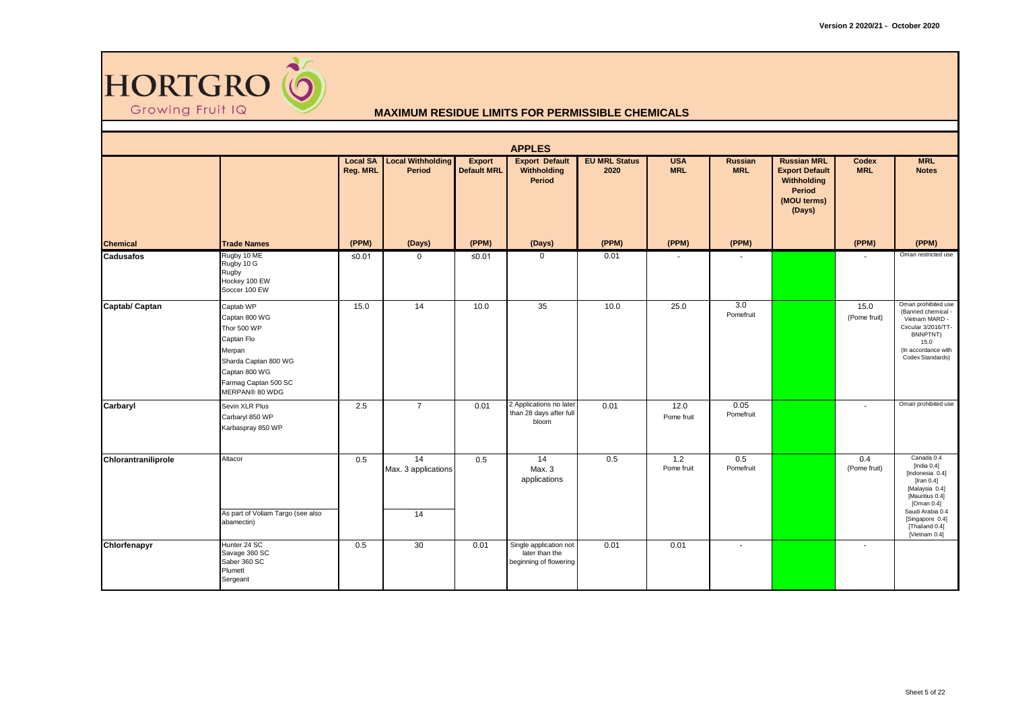

|                     |                                                                                                                                                      |                             |                                           |                                     | <b>APPLES</b>                                                      |                              |                          |                              |                                                                                               |                          |                                                                                                                                                                                                  |
|---------------------|------------------------------------------------------------------------------------------------------------------------------------------------------|-----------------------------|-------------------------------------------|-------------------------------------|--------------------------------------------------------------------|------------------------------|--------------------------|------------------------------|-----------------------------------------------------------------------------------------------|--------------------------|--------------------------------------------------------------------------------------------------------------------------------------------------------------------------------------------------|
|                     |                                                                                                                                                      | <b>Local SA</b><br>Reg. MRL | <b>Local Withholding</b><br><b>Period</b> | <b>Export</b><br><b>Default MRL</b> | <b>Export Default</b><br>Withholding<br><b>Period</b>              | <b>EU MRL Status</b><br>2020 | <b>USA</b><br><b>MRL</b> | <b>Russian</b><br><b>MRL</b> | <b>Russian MRL</b><br><b>Export Default</b><br>Withholding<br>Period<br>(MOU terms)<br>(Days) | Codex<br><b>MRL</b>      | <b>MRL</b><br><b>Notes</b>                                                                                                                                                                       |
| <b>Chemical</b>     | <b>Trade Names</b>                                                                                                                                   | (PPM)                       | (Days)                                    | (PPM)                               | (Days)                                                             | (PPM)                        | (PPM)                    | (PPM)                        |                                                                                               | (PPM)                    | (PPM)                                                                                                                                                                                            |
| <b>Cadusafos</b>    | Rugby 10 ME<br>Rugby 10 G<br>Rugby<br>Hockey 100 EW<br>Soccer 100 EW                                                                                 | ≤0.01                       | 0                                         | $≤0.01$                             | $\mathbf 0$                                                        | 0.01                         | ۰                        |                              |                                                                                               | $\overline{\phantom{a}}$ | Oman restricted use                                                                                                                                                                              |
| Captab/ Captan      | Captab WP<br>Captan 800 WG<br>Thor 500 WP<br>Captan Flo<br>Merpan<br>Sharda Captan 800 WG<br>Captan 800 WG<br>Farmag Captan 500 SC<br>MERPAN® 80 WDG | 15.0                        | 14                                        | 10.0                                | 35                                                                 | 10.0                         | 25.0                     | 3.0<br>Pomefruit             |                                                                                               | 15.0<br>(Pome fruit)     | Oman prohibited use<br>(Banned chemical -<br>Vietnam MARD -<br>Circular 3/2016/TT-<br>BNNPTNT)<br>15.0<br>(In accordance with<br>Codex Standards)                                                |
| Carbaryl            | Sevin XLR Plus<br>Carbaryl 850 WP<br>Karbaspray 850 WP                                                                                               | 2.5                         | $\overline{7}$                            | 0.01                                | 2 Applications no later<br>than 28 days after full<br>bloom        | 0.01                         | 12.0<br>Pome fruit       | 0.05<br>Pomefruit            |                                                                                               | $\sim$                   | Oman prohibited use                                                                                                                                                                              |
| Chlorantraniliprole | Altacor<br>As part of Voliam Targo (see also<br>abamectin)                                                                                           | 0.5                         | 14<br>Max. 3 applications<br>14           | 0.5                                 | 14<br>Max. 3<br>applications                                       | 0.5                          | 1.2<br>Pome fruit        | 0.5<br>Pomefruit             |                                                                                               | 0.4<br>(Pome fruit)      | Canada 0.4<br>[India $0.4$ ]<br>[Indonesia 0.4]<br>[Iran $0.4$ ]<br>[Malaysia 0.4]<br>[Mauritius 0.4]<br>[Oman $0.4$ ]<br>Saudi Arabia 0.4<br>[Singapore 0.4]<br>[Thailand 0.4]<br>[Vietnam 0.4] |
| Chlorfenapyr        | Hunter 24 SC<br>Savage 360 SC<br>Saber 360 SC<br>Plumett<br>Sergeant                                                                                 | 0.5                         | 30                                        | 0.01                                | Single application not<br>later than the<br>beginning of flowering | 0.01                         | 0.01                     |                              |                                                                                               | $\sim$                   |                                                                                                                                                                                                  |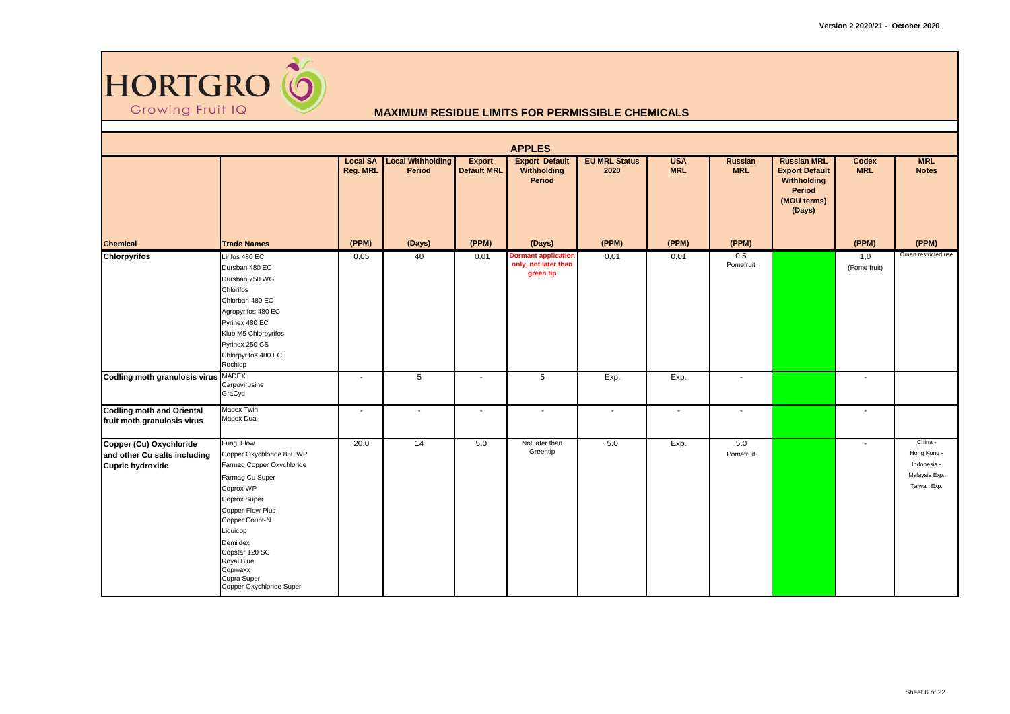

|                                                                                    |                                                                                                                                                                                                                                                                          |                             |                                    |                                     | <b>APPLES</b>                                                   |                              |                          |                              |                                                                                               |                     |                                                                       |
|------------------------------------------------------------------------------------|--------------------------------------------------------------------------------------------------------------------------------------------------------------------------------------------------------------------------------------------------------------------------|-----------------------------|------------------------------------|-------------------------------------|-----------------------------------------------------------------|------------------------------|--------------------------|------------------------------|-----------------------------------------------------------------------------------------------|---------------------|-----------------------------------------------------------------------|
|                                                                                    |                                                                                                                                                                                                                                                                          | <b>Local SA</b><br>Reg. MRL | <b>Local Withholding</b><br>Period | <b>Export</b><br><b>Default MRL</b> | <b>Export Default</b><br>Withholding<br><b>Period</b>           | <b>EU MRL Status</b><br>2020 | <b>USA</b><br><b>MRL</b> | <b>Russian</b><br><b>MRL</b> | <b>Russian MRL</b><br><b>Export Default</b><br>Withholding<br>Period<br>(MOU terms)<br>(Days) | Codex<br><b>MRL</b> | <b>MRL</b><br><b>Notes</b>                                            |
| <b>Chemical</b>                                                                    | <b>Trade Names</b>                                                                                                                                                                                                                                                       | (PPM)                       | (Days)                             | (PPM)                               | (Days)                                                          | (PPM)                        | (PPM)                    | (PPM)                        |                                                                                               | (PPM)               | (PPM)                                                                 |
| <b>Chlorpyrifos</b>                                                                | Lirifos 480 EC<br>Dursban 480 EC<br>Dursban 750 WG<br>Chlorifos<br>Chlorban 480 EC<br>Agropyrifos 480 EC<br>Pyrinex 480 EC<br>Klub M5 Chlorpyrifos<br>Pyrinex 250 CS<br>Chlorpyrifos 480 EC<br>Rochlop                                                                   | 0.05                        | 40                                 | 0.01                                | <b>Dormant application</b><br>only, not later than<br>green tip | 0.01                         | 0.01                     | 0.5<br>Pomefruit             |                                                                                               | 1,0<br>(Pome fruit) | Oman restricted use                                                   |
| Codling moth granulosis virus MADEX                                                | Carpovirusine<br>GraCyd                                                                                                                                                                                                                                                  | $\sim$                      | $5\overline{)}$                    | $\blacksquare$                      | $\,$ 5 $\,$                                                     | Exp.                         | Exp.                     | $\sim$                       |                                                                                               | $\sim$              |                                                                       |
| <b>Codling moth and Oriental</b><br>fruit moth granulosis virus                    | Madex Twin<br>Madex Dual                                                                                                                                                                                                                                                 | $\sim$                      | $\sim$                             | $\sim$                              | $\sim$                                                          | $\sim$                       | $\sim$                   | $\sim$                       |                                                                                               | $\sim$              |                                                                       |
| Copper (Cu) Oxychloride<br>and other Cu salts including<br><b>Cupric hydroxide</b> | Fungi Flow<br>Copper Oxychloride 850 WP<br>Farmag Copper Oxychloride<br>Farmag Cu Super<br>Coprox WP<br>Coprox Super<br>Copper-Flow-Plus<br>Copper Count-N<br>Liquicop<br>Demildex<br>Copstar 120 SC<br>Royal Blue<br>Copmaxx<br>Cupra Super<br>Copper Oxychloride Super | 20.0                        | 14                                 | 5.0                                 | Not later than<br>Greentip                                      | 5.0                          | Exp.                     | 5.0<br>Pomefruit             |                                                                                               | $\sim$              | China -<br>Hong Kong -<br>Indonesia -<br>Malaysia Exp.<br>Taiwan Exp. |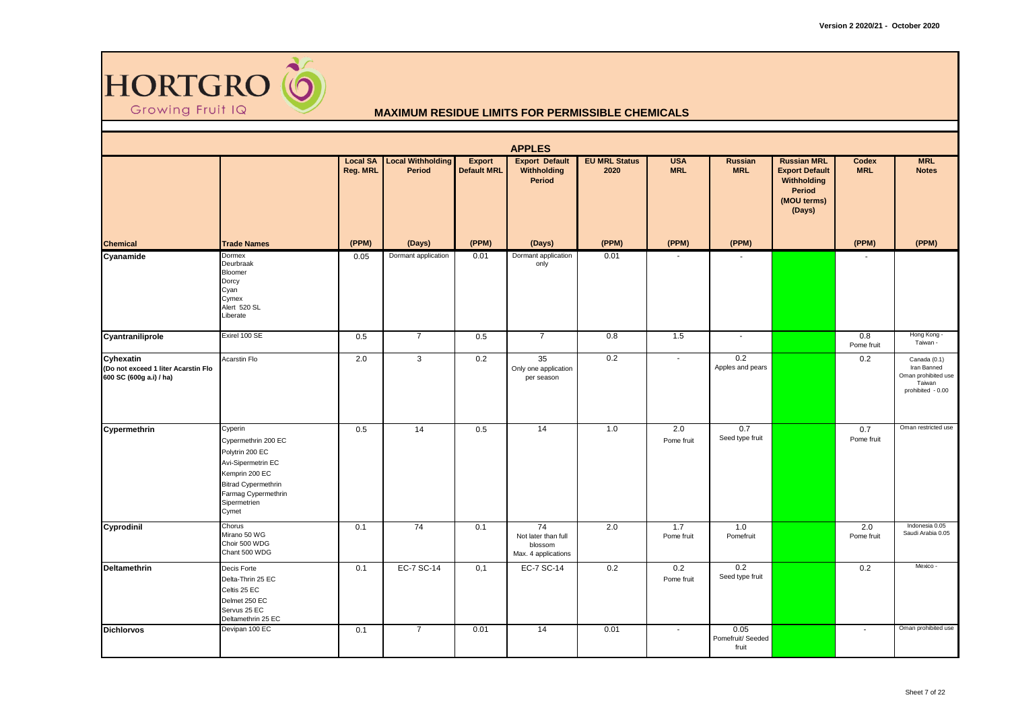

|                                                                             |                                                                                                                                                                         |                             |                                    |                              | <b>APPLES</b>                                               |                              |                          |                                    |                                                                                               |                     |                                                                                   |
|-----------------------------------------------------------------------------|-------------------------------------------------------------------------------------------------------------------------------------------------------------------------|-----------------------------|------------------------------------|------------------------------|-------------------------------------------------------------|------------------------------|--------------------------|------------------------------------|-----------------------------------------------------------------------------------------------|---------------------|-----------------------------------------------------------------------------------|
|                                                                             |                                                                                                                                                                         | <b>Local SA</b><br>Reg. MRL | <b>Local Withholding</b><br>Period | Export<br><b>Default MRL</b> | <b>Export Default</b><br>Withholding<br><b>Period</b>       | <b>EU MRL Status</b><br>2020 | <b>USA</b><br><b>MRL</b> | Russian<br><b>MRL</b>              | <b>Russian MRL</b><br><b>Export Default</b><br>Withholding<br>Period<br>(MOU terms)<br>(Days) | Codex<br><b>MRL</b> | <b>MRL</b><br><b>Notes</b>                                                        |
| <b>Chemical</b>                                                             | <b>Trade Names</b>                                                                                                                                                      | (PPM)                       | (Days)                             | (PPM)                        | (Days)                                                      | (PPM)                        | (PPM)                    | (PPM)                              |                                                                                               | (PPM)               | (PPM)                                                                             |
| Cyanamide                                                                   | <b>Dormex</b><br>Deurbraak<br>Bloomer<br>Dorcy<br>Cyan<br>Cymex<br>Alert 520 SL<br>Liberate                                                                             | 0.05                        | Dormant application                | 0.01                         | Dormant application<br>only                                 | 0.01                         | $\sim$                   |                                    |                                                                                               |                     |                                                                                   |
| Cyantraniliprole                                                            | Exirel 100 SE                                                                                                                                                           | 0.5                         | $\overline{7}$                     | 0.5                          | $\overline{7}$                                              | 0.8                          | 1.5                      | $\blacksquare$                     |                                                                                               | 0.8<br>Pome fruit   | Hong Kong -<br>Taiwan -                                                           |
| Cyhexatin<br>(Do not exceed 1 liter Acarstin Flo<br>600 SC (600g a.i) / ha) | Acarstin Flo                                                                                                                                                            | 2.0                         | 3                                  | 0.2                          | 35<br>Only one application<br>per season                    | 0.2                          | $\overline{\phantom{a}}$ | 0.2<br>Apples and pears            |                                                                                               | 0.2                 | Canada (0.1)<br>Iran Banned<br>Oman prohibited use<br>Taiwan<br>prohibited - 0.00 |
| Cypermethrin                                                                | Cyperin<br>Cypermethrin 200 EC<br>Polytrin 200 EC<br>Avi-Sipermetrin EC<br>Kemprin 200 EC<br><b>Bitrad Cypermethrin</b><br>Farmag Cypermethrin<br>Sipermetrien<br>Cymet | 0.5                         | 14                                 | 0.5                          | 14                                                          | 1.0                          | 2.0<br>Pome fruit        | 0.7<br>Seed type fruit             |                                                                                               | 0.7<br>Pome fruit   | Oman restricted use                                                               |
| Cyprodinil                                                                  | Chorus<br>Mirano 50 WG<br>Choir 500 WDG<br>Chant 500 WDG                                                                                                                | 0.1                         | 74                                 | 0.1                          | 74<br>Not later than full<br>blossom<br>Max. 4 applications | 2.0                          | 1.7<br>Pome fruit        | 1.0<br>Pomefruit                   |                                                                                               | 2.0<br>Pome fruit   | Indonesia 0.05<br>Saudi Arabia 0.05                                               |
| <b>Deltamethrin</b>                                                         | Decis Forte<br>Delta-Thrin 25 EC<br>Celtis 25 EC<br>Delmet 250 EC<br>Servus 25 EC<br>Deltamethrin 25 EC                                                                 | 0.1                         | EC-7 SC-14                         | 0,1                          | EC-7 SC-14                                                  | 0.2                          | 0.2<br>Pome fruit        | 0.2<br>Seed type fruit             |                                                                                               | 0.2                 | Mexico -                                                                          |
| <b>Dichlorvos</b>                                                           | Devipan 100 EC                                                                                                                                                          | 0.1                         | $\overline{7}$                     | 0.01                         | 14                                                          | 0.01                         | ÷.                       | 0.05<br>Pomefruit/ Seeded<br>fruit |                                                                                               | $\mathbf{r}$        | Oman prohibited use                                                               |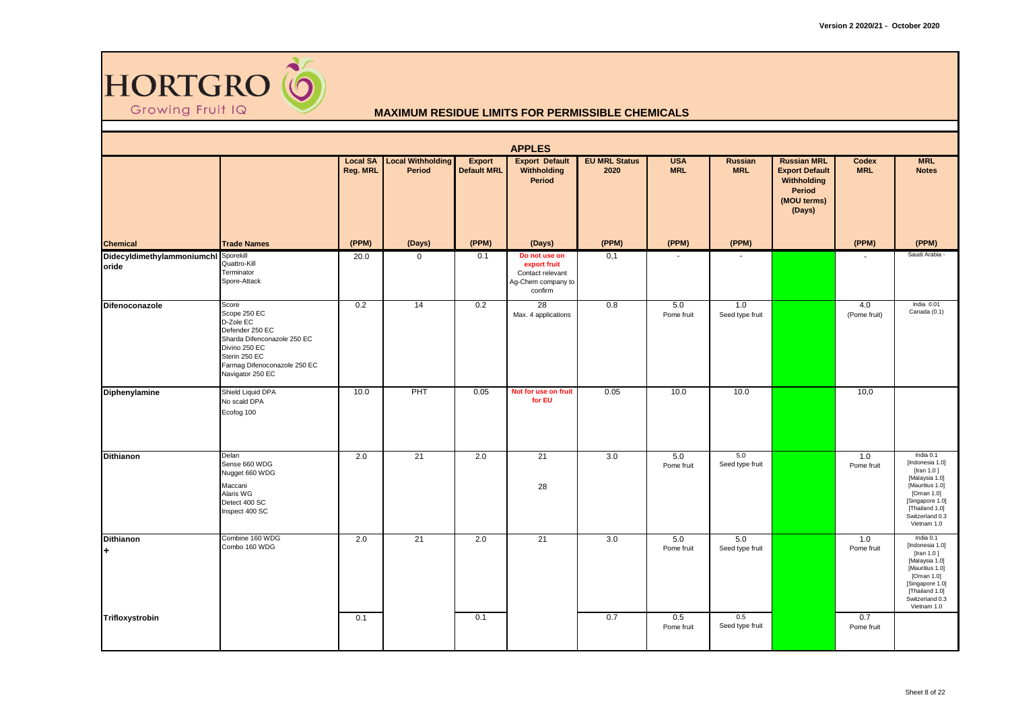

|                                     |                                                                                                                                                                            |                             |                                    |                                     | <b>APPLES</b>                                                                      |                              |                          |                              |                                                                                               |                     |                                                                                                                                                                         |
|-------------------------------------|----------------------------------------------------------------------------------------------------------------------------------------------------------------------------|-----------------------------|------------------------------------|-------------------------------------|------------------------------------------------------------------------------------|------------------------------|--------------------------|------------------------------|-----------------------------------------------------------------------------------------------|---------------------|-------------------------------------------------------------------------------------------------------------------------------------------------------------------------|
|                                     |                                                                                                                                                                            | <b>Local SA</b><br>Reg. MRL | <b>Local Withholding</b><br>Period | <b>Export</b><br><b>Default MRL</b> | <b>Export Default</b><br>Withholding<br><b>Period</b>                              | <b>EU MRL Status</b><br>2020 | <b>USA</b><br><b>MRL</b> | <b>Russian</b><br><b>MRL</b> | <b>Russian MRL</b><br><b>Export Default</b><br>Withholding<br>Period<br>(MOU terms)<br>(Days) | Codex<br><b>MRL</b> | <b>MRL</b><br><b>Notes</b>                                                                                                                                              |
| <b>Chemical</b>                     | <b>Trade Names</b>                                                                                                                                                         | (PPM)                       | (Days)                             | (PPM)                               | (Days)                                                                             | (PPM)                        | (PPM)                    | (PPM)                        |                                                                                               | (PPM)               | (PPM)                                                                                                                                                                   |
| Didecyldimethylammoniumchl<br>oride | Sporekill<br>Quattro-Kill<br>Terminator<br>Spore-Attack                                                                                                                    | 20.0                        | $\mathbf{0}$                       | 0.1                                 | Do not use on<br>export fruit<br>Contact relevant<br>Ag-Chem company to<br>confirm | 0,1                          | $\overline{\phantom{a}}$ |                              |                                                                                               |                     | Saudi Arabia -                                                                                                                                                          |
| <b>Difenoconazole</b>               | Score<br>Scope 250 EC<br>D-Zole EC<br>Defender 250 EC<br>Sharda Difenconazole 250 EC<br>Divino 250 EC<br>Sterin 250 EC<br>Farmag Difenoconazole 250 EC<br>Navigator 250 EC | 0.2                         | 14                                 | 0.2                                 | 28<br>Max. 4 applications                                                          | 0.8                          | 5.0<br>Pome fruit        | 1.0<br>Seed type fruit       |                                                                                               | 4.0<br>(Pome fruit) | India 0.01<br>Canada (0.1)                                                                                                                                              |
| Diphenylamine                       | Shield Liquid DPA<br>No scald DPA<br>Ecofog 100                                                                                                                            | 10.0                        | PHT                                | 0.05                                | Not for use on fruit<br>for EU                                                     | 0.05                         | 10.0                     | 10.0                         |                                                                                               | 10,0                |                                                                                                                                                                         |
| <b>Dithianon</b>                    | Delan<br>Sense 660 WDG<br>Nugget 660 WDG<br>Maccani<br>Alaris WG<br>Detect 400 SC<br>Inspect 400 SC                                                                        | 2.0                         | 21                                 | 2.0                                 | 21<br>28                                                                           | 3.0                          | 5.0<br>Pome fruit        | 5.0<br>Seed type fruit       |                                                                                               | 1.0<br>Pome fruit   | India 0.1<br>[Indonesia 1.0]<br>[Iran 1.0]<br>[Malaysia 1.0]<br>[Mauritius 1.0]<br>[Oman 1.0]<br>[Singapore 1.0]<br>[Thailand 1.0]<br>Switzerland 0.3<br>Vietnam 1.0    |
| <b>Dithianon</b><br>$\ddot{}$       | Combine 160 WDG<br>Combo 160 WDG                                                                                                                                           | 2.0                         | 21                                 | 2.0                                 | 21                                                                                 | 3.0                          | 5.0<br>Pome fruit        | 5.0<br>Seed type fruit       |                                                                                               | 1.0<br>Pome fruit   | India 0.1<br>[Indonesia 1.0]<br>[Iran $1.0$ ]<br>[Malaysia 1.0]<br>[Mauritius 1.0]<br>[Oman 1.0]<br>[Singapore 1.0]<br>[Thailand 1.0]<br>Switzerland 0.3<br>Vietnam 1.0 |
| Trifloxystrobin                     |                                                                                                                                                                            | 0.1                         |                                    | 0.1                                 |                                                                                    | 0.7                          | 0.5<br>Pome fruit        | 0.5<br>Seed type fruit       |                                                                                               | 0.7<br>Pome fruit   |                                                                                                                                                                         |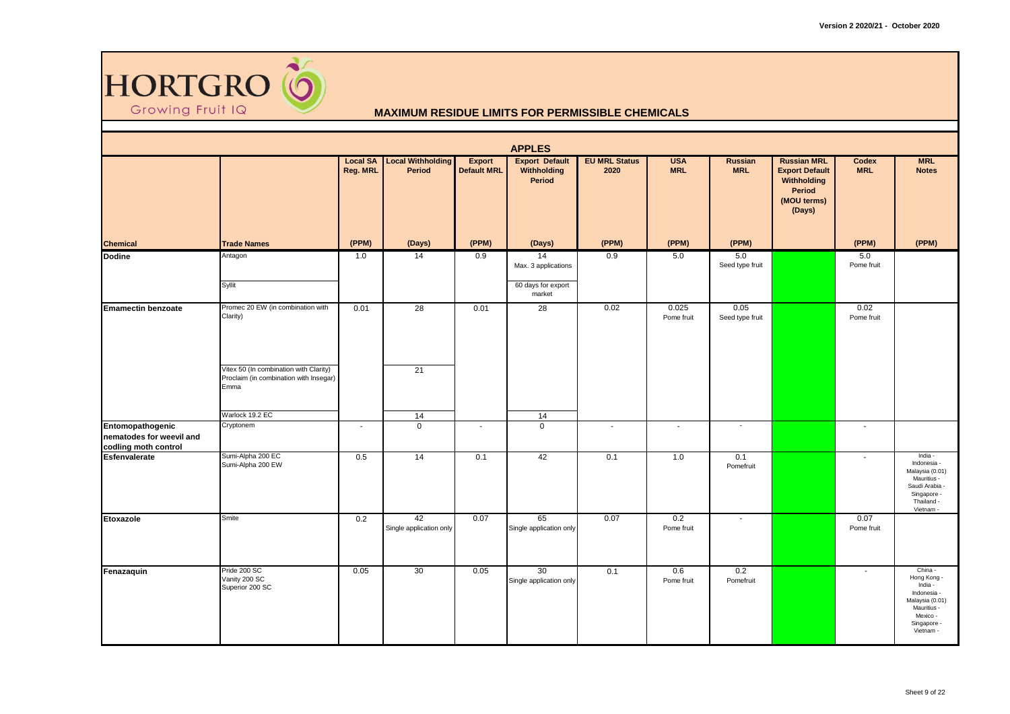

|                                                                      |                                                                                          |                             |                                           |                              | <b>APPLES</b>                                                |                              |                          |                          |                                                                                                      |                          |                                                                                                                            |
|----------------------------------------------------------------------|------------------------------------------------------------------------------------------|-----------------------------|-------------------------------------------|------------------------------|--------------------------------------------------------------|------------------------------|--------------------------|--------------------------|------------------------------------------------------------------------------------------------------|--------------------------|----------------------------------------------------------------------------------------------------------------------------|
|                                                                      |                                                                                          | <b>Local SA</b><br>Reg. MRL | <b>Local Withholding</b><br><b>Period</b> | Export<br><b>Default MRL</b> | <b>Export Default</b><br><b>Withholding</b><br><b>Period</b> | <b>EU MRL Status</b><br>2020 | <b>USA</b><br><b>MRL</b> | Russian<br><b>MRL</b>    | <b>Russian MRL</b><br><b>Export Default</b><br>Withholding<br><b>Period</b><br>(MOU terms)<br>(Days) | Codex<br><b>MRL</b>      | <b>MRL</b><br><b>Notes</b>                                                                                                 |
| <b>Chemical</b>                                                      | <b>Trade Names</b>                                                                       | (PPM)                       | (Days)                                    | (PPM)                        | (Days)                                                       | (PPM)                        | (PPM)                    | (PPM)                    |                                                                                                      | (PPM)                    | (PPM)                                                                                                                      |
| <b>Dodine</b>                                                        | Antagon<br>Syllit                                                                        | 1.0                         | 14                                        | 0.9                          | 14<br>Max. 3 applications<br>60 days for export<br>market    | 0.9                          | 5.0                      | 5.0<br>Seed type fruit   |                                                                                                      | 5.0<br>Pome fruit        |                                                                                                                            |
| <b>Emamectin benzoate</b>                                            | Promec 20 EW (in combination with<br>Clarity)                                            | 0.01                        | 28                                        | 0.01                         | 28                                                           | 0.02                         | 0.025<br>Pome fruit      | 0.05<br>Seed type fruit  |                                                                                                      | 0.02<br>Pome fruit       |                                                                                                                            |
|                                                                      | Vitex 50 (In combination with Clarity)<br>Proclaim (in combination with Insegar)<br>Emma |                             | 21                                        |                              |                                                              |                              |                          |                          |                                                                                                      |                          |                                                                                                                            |
|                                                                      | Warlock 19.2 EC<br>Cryptonem                                                             | $\overline{\phantom{a}}$    | 14<br>$\mathbf 0$                         | $\overline{\phantom{a}}$     | 14<br>$\mathbf{0}$                                           | $\sim$                       | $\sim$                   | $\sim$                   |                                                                                                      | $\sim$                   |                                                                                                                            |
| Entomopathogenic<br>nematodes for weevil and<br>codling moth control |                                                                                          |                             |                                           |                              |                                                              |                              |                          |                          |                                                                                                      |                          |                                                                                                                            |
| <b>Esfenvalerate</b>                                                 | Sumi-Alpha 200 EC<br>Sumi-Alpha 200 EW                                                   | 0.5                         | 14                                        | 0.1                          | 42                                                           | 0.1                          | 1.0                      | 0.1<br>Pomefruit         |                                                                                                      | $\sim$                   | India -<br>Indonesia -<br>Malaysia (0.01)<br>Mauritius -<br>Saudi Arabia -<br>Singapore -<br>Thailand -<br>Vietnam -       |
| Etoxazole                                                            | Smite                                                                                    | 0.2                         | 42<br>Single application only             | 0.07                         | 65<br>Single application only                                | 0.07                         | 0.2<br>Pome fruit        | $\overline{\phantom{a}}$ |                                                                                                      | 0.07<br>Pome fruit       |                                                                                                                            |
| Fenazaquin                                                           | Pride 200 SC<br>Vanity 200 SC<br>Superior 200 SC                                         | 0.05                        | 30                                        | 0.05                         | 30<br>Single application only                                | 0.1                          | 0.6<br>Pome fruit        | 0.2<br>Pomefruit         |                                                                                                      | $\overline{\phantom{a}}$ | China -<br>Hong Kong -<br>India -<br>Indonesia -<br>Malaysia (0.01)<br>Mauritius -<br>Mexico -<br>Singapore -<br>Vietnam - |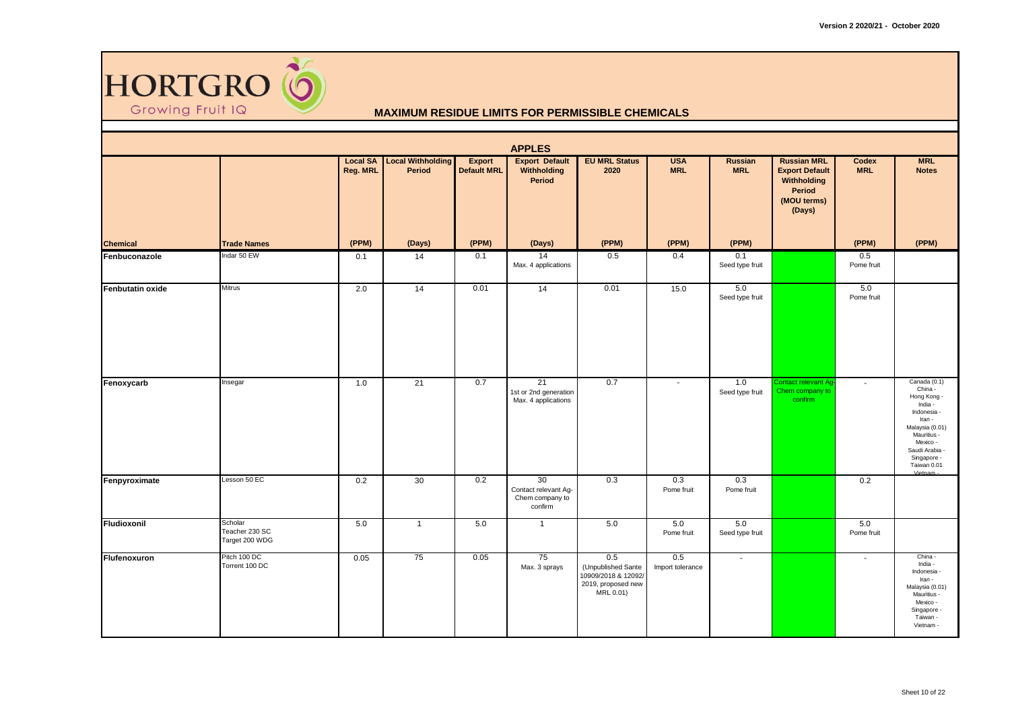

|                         |                                             |                             |                                           |                                     | <b>APPLES</b>                                            |                                                                                     |                          |                        |                                                                                               |                     |                                                                                                                                                                                     |
|-------------------------|---------------------------------------------|-----------------------------|-------------------------------------------|-------------------------------------|----------------------------------------------------------|-------------------------------------------------------------------------------------|--------------------------|------------------------|-----------------------------------------------------------------------------------------------|---------------------|-------------------------------------------------------------------------------------------------------------------------------------------------------------------------------------|
|                         |                                             | <b>Local SA</b><br>Reg. MRL | <b>Local Withholding</b><br><b>Period</b> | <b>Export</b><br><b>Default MRL</b> | <b>Export Default</b><br>Withholding<br>Period           | <b>EU MRL Status</b><br>2020                                                        | <b>USA</b><br><b>MRL</b> | Russian<br><b>MRL</b>  | <b>Russian MRL</b><br><b>Export Default</b><br>Withholding<br>Period<br>(MOU terms)<br>(Days) | Codex<br><b>MRL</b> | <b>MRL</b><br><b>Notes</b>                                                                                                                                                          |
| <b>Chemical</b>         | <b>Trade Names</b>                          | (PPM)                       | (Days)                                    | (PPM)                               | (Days)                                                   | (PPM)                                                                               | (PPM)                    | (PPM)                  |                                                                                               | (PPM)               | (PPM)                                                                                                                                                                               |
| Fenbuconazole           | Indar 50 EW                                 | 0.1                         | 14                                        | 0.1                                 | 14<br>Max. 4 applications                                | 0.5                                                                                 | 0.4                      | 0.1<br>Seed type fruit |                                                                                               | 0.5<br>Pome fruit   |                                                                                                                                                                                     |
| <b>Fenbutatin oxide</b> | <b>Mitrus</b>                               | 2.0                         | 14                                        | 0.01                                | 14                                                       | 0.01                                                                                | $\overline{15.0}$        | 5.0<br>Seed type fruit |                                                                                               | 5.0<br>Pome fruit   |                                                                                                                                                                                     |
| Fenoxycarb              | Insegar                                     | 1.0                         | 21                                        | 0.7                                 | 21<br>1st or 2nd generation<br>Max. 4 applications       | 0.7                                                                                 | $\sim$                   | 1.0<br>Seed type fruit | Contact relevant Ag<br>Chem company to<br>confirm                                             | $\sim$              | Canada (0.1)<br>China -<br>Hong Kong -<br>India -<br>Indonesia -<br>Iran -<br>Malaysia (0.01)<br>Mauritius -<br>Mexico -<br>Saudi Arabia -<br>Singapore -<br>Taiwan 0.01<br>Vietnam |
| Fenpyroximate           | Lesson 50 EC                                | 0.2                         | 30                                        | 0.2                                 | 30<br>Contact relevant Ag-<br>Chem company to<br>confirm | 0.3                                                                                 | 0.3<br>Pome fruit        | 0.3<br>Pome fruit      |                                                                                               | 0.2                 |                                                                                                                                                                                     |
| Fludioxonil             | Scholar<br>Teacher 230 SC<br>Target 200 WDG | 5.0                         | $\overline{1}$                            | 5.0                                 | $\overline{1}$                                           | 5.0                                                                                 | 5.0<br>Pome fruit        | 5.0<br>Seed type fruit |                                                                                               | 5.0<br>Pome fruit   |                                                                                                                                                                                     |
| Flufenoxuron            | Pitch 100 DC<br>Torrent 100 DC              | 0.05                        | 75                                        | 0.05                                | 75<br>Max. 3 sprays                                      | 0.5<br>(Unpublished Sante<br>10909/2018 & 12092/<br>2019, proposed new<br>MRL 0.01) | 0.5<br>Import tolerance  | $\sim$                 |                                                                                               | $\sim$              | China -<br>India -<br>Indonesia -<br>Iran -<br>Malaysia (0.01)<br>Mauritius -<br>Mexico -<br>Singapore -<br>Taiwan -<br>Vietnam -                                                   |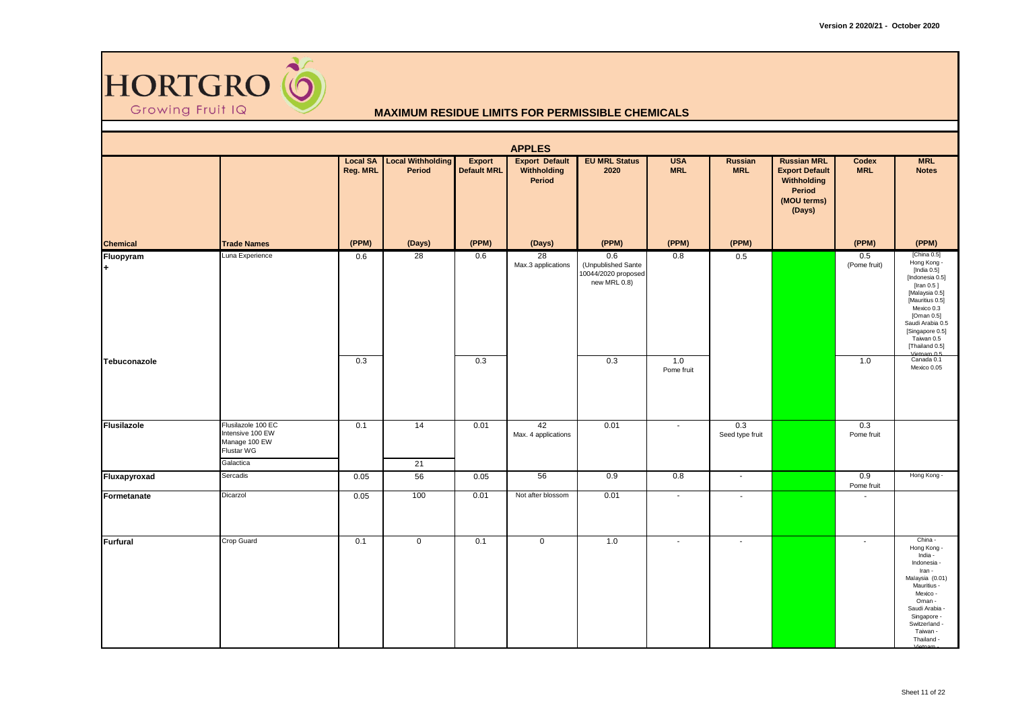

|                    |                                                                       |                             |                                    |                                     | <b>APPLES</b>                                  |                                                                  |                          |                              |                                                                                               |                     |                                                                                                                                                                                                                                   |
|--------------------|-----------------------------------------------------------------------|-----------------------------|------------------------------------|-------------------------------------|------------------------------------------------|------------------------------------------------------------------|--------------------------|------------------------------|-----------------------------------------------------------------------------------------------|---------------------|-----------------------------------------------------------------------------------------------------------------------------------------------------------------------------------------------------------------------------------|
|                    |                                                                       | <b>Local SA</b><br>Reg. MRL | <b>Local Withholding</b><br>Period | <b>Export</b><br><b>Default MRL</b> | <b>Export Default</b><br>Withholding<br>Period | <b>EU MRL Status</b><br>2020                                     | <b>USA</b><br><b>MRL</b> | <b>Russian</b><br><b>MRL</b> | <b>Russian MRL</b><br><b>Export Default</b><br>Withholding<br>Period<br>(MOU terms)<br>(Days) | Codex<br><b>MRL</b> | <b>MRL</b><br><b>Notes</b>                                                                                                                                                                                                        |
| <b>Chemical</b>    | <b>Trade Names</b>                                                    | (PPM)                       | (Days)                             | (PPM)                               | (Days)                                         | (PPM)                                                            | (PPM)                    | (PPM)                        |                                                                                               | (PPM)               | (PPM)                                                                                                                                                                                                                             |
| Fluopyram          | Luna Experience                                                       | 0.6                         | $\overline{28}$                    | 0.6                                 | 28<br>Max.3 applications                       | 0.6<br>(Unpublished Sante<br>10044/2020 proposed<br>new MRL 0.8) | 0.8                      | 0.5                          |                                                                                               | 0.5<br>(Pome fruit) | [China 0.5]<br>Hong Kong -<br>[India 0.5]<br>[Indonesia 0.5]<br>[Iran 0.5]<br>[Malaysia 0.5]<br>[Mauritius 0.5]<br>Mexico 0.3<br>[Oman 0.5]<br>Saudi Arabia 0.5<br>[Singapore 0.5]<br>Taiwan 0.5<br>[Thailand 0.5]<br>Vietnam 0.5 |
| Tebuconazole       |                                                                       | 0.3                         |                                    | 0.3                                 |                                                | 0.3                                                              | 1.0<br>Pome fruit        |                              |                                                                                               | 1.0                 | Canada 0.1<br>Mexico 0.05                                                                                                                                                                                                         |
| <b>Flusilazole</b> | Flusilazole 100 EC<br>Intensive 100 EW<br>Manage 100 EW<br>Flustar WG | 0.1                         | 14                                 | 0.01                                | 42<br>Max. 4 applications                      | 0.01                                                             | $\sim$                   | 0.3<br>Seed type fruit       |                                                                                               | 0.3<br>Pome fruit   |                                                                                                                                                                                                                                   |
|                    | Galactica                                                             |                             | 21                                 |                                     |                                                |                                                                  |                          |                              |                                                                                               |                     |                                                                                                                                                                                                                                   |
| Fluxapyroxad       | Sercadis                                                              | 0.05                        | 56                                 | 0.05                                | 56                                             | 0.9                                                              | 0.8                      | $\sim$                       |                                                                                               | 0.9<br>Pome fruit   | Hong Kong -                                                                                                                                                                                                                       |
| Formetanate        | Dicarzol                                                              | 0.05                        | 100                                | 0.01                                | Not after blossom                              | 0.01                                                             | $\sim$                   | $\overline{\phantom{a}}$     |                                                                                               | $\sim$              |                                                                                                                                                                                                                                   |
| <b>Furfural</b>    | Crop Guard                                                            | 0.1                         | $\mathbf 0$                        | 0.1                                 | $\mathbf 0$                                    | 1.0                                                              | $\sim$                   | $\blacksquare$               |                                                                                               | $\sim$              | China -<br>Hong Kong -<br>India -<br>Indonesia -<br>Iran -<br>Malaysia (0.01)<br>Mauritius -<br>Mexico -<br>Oman -<br>Saudi Arabia -<br>Singapore -<br>Switzerland -<br>Taiwan -<br>Thailand -                                    |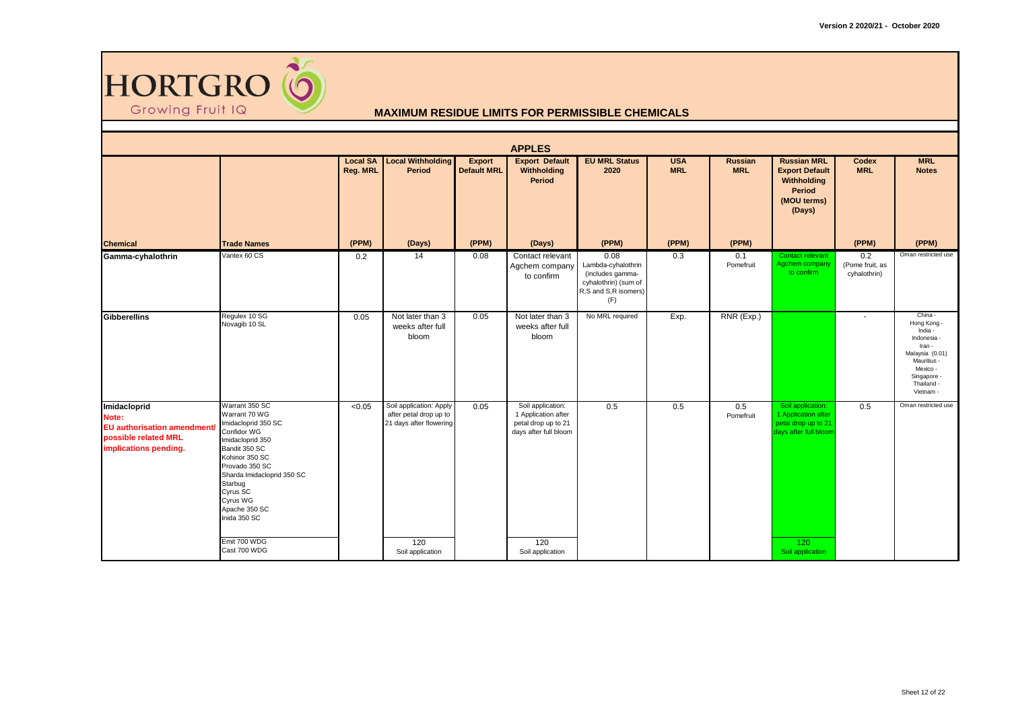

|                                                                                                              |                                                                                                                                                                                                                                                                                  |                             |                                                                                                                      |                              | <b>APPLES</b>                                                                                                       |                                                                                                       |                          |                              |                                                                                                                     |                                        |                                                                                                                                                    |
|--------------------------------------------------------------------------------------------------------------|----------------------------------------------------------------------------------------------------------------------------------------------------------------------------------------------------------------------------------------------------------------------------------|-----------------------------|----------------------------------------------------------------------------------------------------------------------|------------------------------|---------------------------------------------------------------------------------------------------------------------|-------------------------------------------------------------------------------------------------------|--------------------------|------------------------------|---------------------------------------------------------------------------------------------------------------------|----------------------------------------|----------------------------------------------------------------------------------------------------------------------------------------------------|
|                                                                                                              |                                                                                                                                                                                                                                                                                  | <b>Local SA</b><br>Reg. MRL | <b>Local Withholding</b><br>Period                                                                                   | Export<br><b>Default MRL</b> | <b>Export Default</b><br>Withholding<br><b>Period</b>                                                               | <b>EU MRL Status</b><br>2020                                                                          | <b>USA</b><br><b>MRL</b> | <b>Russian</b><br><b>MRL</b> | <b>Russian MRL</b><br><b>Export Default</b><br>Withholding<br>Period<br>(MOU terms)<br>(Days)                       | Codex<br><b>MRL</b>                    | <b>MRL</b><br><b>Notes</b>                                                                                                                         |
| <b>Chemical</b>                                                                                              | <b>Trade Names</b>                                                                                                                                                                                                                                                               | (PPM)                       | (Days)                                                                                                               | (PPM)                        | (Days)                                                                                                              | (PPM)                                                                                                 | (PPM)                    | (PPM)                        |                                                                                                                     | (PPM)                                  | (PPM)                                                                                                                                              |
| Gamma-cyhalothrin                                                                                            | Vantex 60 CS                                                                                                                                                                                                                                                                     | 0.2                         | 14                                                                                                                   | 0.08                         | Contact relevant<br>Agchem company<br>to confirm                                                                    | 0.08<br>Lambda-cyhalothrin<br>(includes gamma-<br>cyhalothrin) (sum of<br>R,S and S,R isomers)<br>(F) | 0.3                      | 0.1<br>Pomefruit             | Contact relevant<br>Agchem company<br>to confirm                                                                    | 0.2<br>(Pome fruit, as<br>cyhalothrin) | Oman restricted use                                                                                                                                |
| Gibberellins                                                                                                 | Regulex 10 SG<br>Novagib 10 SL                                                                                                                                                                                                                                                   | 0.05                        | Not later than 3<br>weeks after full<br>bloom                                                                        | 0.05                         | Not later than 3<br>weeks after full<br>bloom                                                                       | No MRL required                                                                                       | Exp.                     | RNR (Exp.)                   |                                                                                                                     |                                        | China -<br>Hong Kong -<br>India -<br>Indonesia -<br>Iran -<br>Malaysia (0.01)<br>Mauritius -<br>Mexico -<br>Singapore -<br>Thailand -<br>Vietnam - |
| Imidacloprid<br>Note:<br><b>EU</b> authorisation amendment/<br>possible related MRL<br>implications pending. | Warrant 350 SC<br>Warrant 70 WG<br>Imidacloprid 350 SC<br>Confidor WG<br>Imidacloprid 350<br>Bandit 350 SC<br>Kohinor 350 SC<br>Provado 350 SC<br>Sharda Imidacloprid 350 SC<br>Starbug<br>Cyrus SC<br>Cyrus WG<br>Apache 350 SC<br>Inida 350 SC<br>Emit 700 WDG<br>Cast 700 WDG | < 0.05                      | Soil application: Apply<br>after petal drop up to<br>21 days after flowering<br>$\overline{120}$<br>Soil application | 0.05                         | Soil application:<br>1 Application after<br>petal drop up to 21<br>days after full bloom<br>120<br>Soil application | 0.5                                                                                                   | 0.5                      | 0.5<br>Pomefruit             | Soil application:<br>1 Application after<br>petal drop up to 21<br>days after full bloom<br>120<br>Soil application | 0.5                                    | Oman restricted use                                                                                                                                |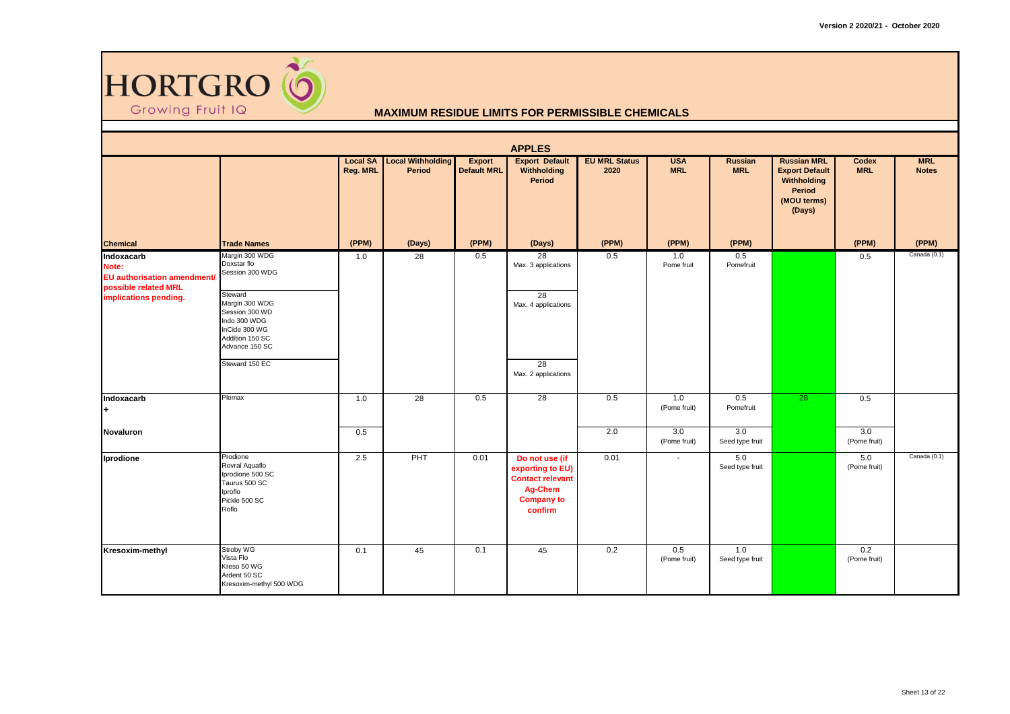

| <b>APPLES</b>                                                                                              |                                                                                                                                                                                         |                             |                                    |                              |                                                                                                                 |                              |                          |                        |                                                                                               |                     |                            |  |
|------------------------------------------------------------------------------------------------------------|-----------------------------------------------------------------------------------------------------------------------------------------------------------------------------------------|-----------------------------|------------------------------------|------------------------------|-----------------------------------------------------------------------------------------------------------------|------------------------------|--------------------------|------------------------|-----------------------------------------------------------------------------------------------|---------------------|----------------------------|--|
|                                                                                                            |                                                                                                                                                                                         | <b>Local SA</b><br>Reg. MRL | <b>Local Withholding</b><br>Period | Export<br><b>Default MRL</b> | <b>Export Default</b><br>Withholding<br>Period                                                                  | <b>EU MRL Status</b><br>2020 | <b>USA</b><br><b>MRL</b> | Russian<br><b>MRL</b>  | <b>Russian MRL</b><br><b>Export Default</b><br>Withholding<br>Period<br>(MOU terms)<br>(Days) | Codex<br><b>MRL</b> | <b>MRL</b><br><b>Notes</b> |  |
| <b>Chemical</b>                                                                                            | <b>Trade Names</b>                                                                                                                                                                      | (PPM)                       | (Days)                             | (PPM)                        | (Days)                                                                                                          | (PPM)                        | (PPM)                    | (PPM)                  |                                                                                               | (PPM)               | (PPM)                      |  |
| Indoxacarb<br>Note:<br><b>EU</b> authorisation amendment/<br>possible related MRL<br>implications pending. | Margin 300 WDG<br>Doxstar flo<br>Session 300 WDG<br>Steward<br>Margin 300 WDG<br>Session 300 WD<br>Indo 300 WDG<br>InCide 300 WG<br>Addition 150 SC<br>Advance 150 SC<br>Steward 150 EC | 1.0                         | 28                                 | 0.5                          | 28<br>Max. 3 applications<br>$\overline{28}$<br>Max. 4 applications<br>$\overline{28}$<br>Max. 2 applications   | 0.5                          | 1.0<br>Pome fruit        | 0.5<br>Pomefruit       |                                                                                               | 0.5                 | Canada (0.1)               |  |
| Indoxacarb<br>l+                                                                                           | Plemax                                                                                                                                                                                  | 1.0                         | $\overline{28}$                    | 0.5                          | $\overline{28}$                                                                                                 | 0.5                          | 1.0<br>(Pome fruit)      | 0.5<br>Pomefruit       | 28                                                                                            | 0.5                 |                            |  |
| Novaluron                                                                                                  |                                                                                                                                                                                         | 0.5                         |                                    |                              |                                                                                                                 | 2.0                          | 3.0<br>(Pome fruit)      | 3.0<br>Seed type fruit |                                                                                               | 3.0<br>(Pome fruit) |                            |  |
| Iprodione                                                                                                  | Prodione<br>Rovral Aquaflo<br>Iprodione 500 SC<br>Taurus 500 SC<br>Iproflo<br>Pickle 500 SC<br>Roflo                                                                                    | 2.5                         | PHT                                | 0.01                         | Do not use (if<br>exporting to EU)<br><b>Contact relevant</b><br><b>Ag-Chem</b><br><b>Company to</b><br>confirm | 0.01                         | $\sim$                   | 5.0<br>Seed type fruit |                                                                                               | 5.0<br>(Pome fruit) | Canada (0.1)               |  |
| Kresoxim-methyl                                                                                            | Stroby WG<br>Vista Flo<br>Kreso 50 WG<br>Ardent 50 SC<br>Kresoxim-methyl 500 WDG                                                                                                        | 0.1                         | 45                                 | 0.1                          | 45                                                                                                              | 0.2                          | 0.5<br>(Pome fruit)      | 1.0<br>Seed type fruit |                                                                                               | 0.2<br>(Pome fruit) |                            |  |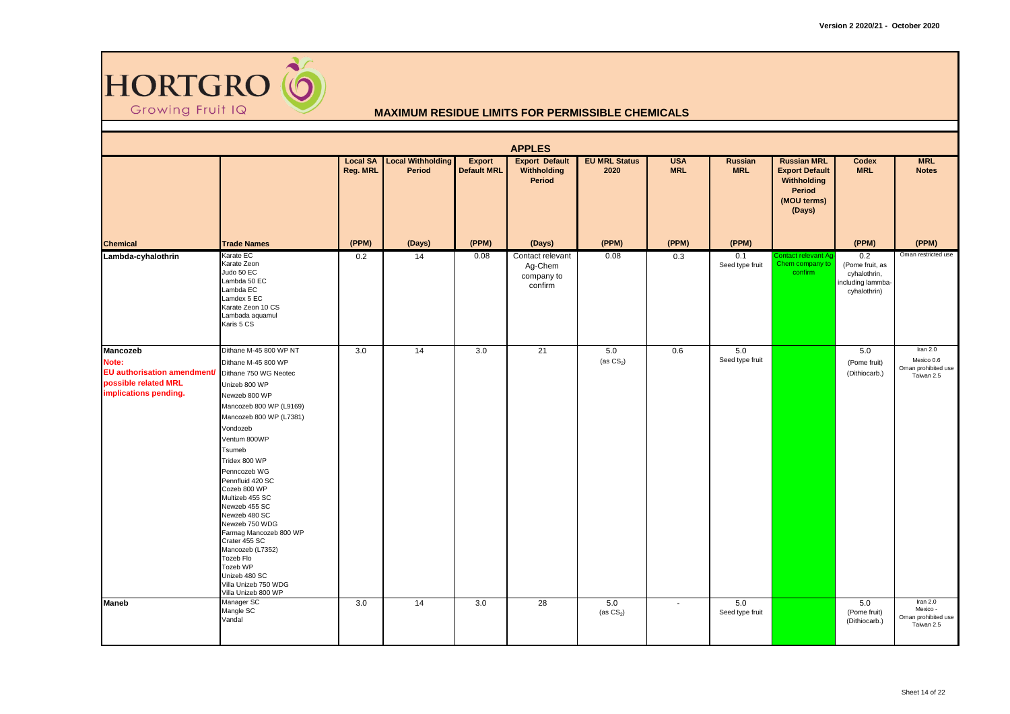

| <b>APPLES</b>                                                                                            |                                                                                                                                                                                                                                                                                                                                                                                                                                                                                                          |                             |                                           |                                     |                                                              |                              |                          |                              |                                                                                                      |                                                                             |                                                             |  |
|----------------------------------------------------------------------------------------------------------|----------------------------------------------------------------------------------------------------------------------------------------------------------------------------------------------------------------------------------------------------------------------------------------------------------------------------------------------------------------------------------------------------------------------------------------------------------------------------------------------------------|-----------------------------|-------------------------------------------|-------------------------------------|--------------------------------------------------------------|------------------------------|--------------------------|------------------------------|------------------------------------------------------------------------------------------------------|-----------------------------------------------------------------------------|-------------------------------------------------------------|--|
|                                                                                                          |                                                                                                                                                                                                                                                                                                                                                                                                                                                                                                          | <b>Local SA</b><br>Reg. MRL | <b>Local Withholding</b><br><b>Period</b> | <b>Export</b><br><b>Default MRL</b> | <b>Export Default</b><br><b>Withholding</b><br><b>Period</b> | <b>EU MRL Status</b><br>2020 | <b>USA</b><br><b>MRL</b> | <b>Russian</b><br><b>MRL</b> | <b>Russian MRL</b><br><b>Export Default</b><br>Withholding<br><b>Period</b><br>(MOU terms)<br>(Days) | <b>Codex</b><br><b>MRL</b>                                                  | <b>MRL</b><br><b>Notes</b>                                  |  |
| <b>Chemical</b>                                                                                          | <b>Trade Names</b>                                                                                                                                                                                                                                                                                                                                                                                                                                                                                       | (PPM)                       | (Days)                                    | (PPM)                               | (Days)                                                       | (PPM)                        | (PPM)                    | (PPM)                        |                                                                                                      | (PPM)                                                                       | (PPM)                                                       |  |
| Lambda-cyhalothrin                                                                                       | Karate EC<br>Karate Zeon<br>Judo 50 EC<br>Lambda 50 EC<br>Lambda EC<br>Lamdex 5 EC<br>Karate Zeon 10 CS<br>Lambada aquamul<br>Karis 5 CS                                                                                                                                                                                                                                                                                                                                                                 | 0.2                         | 14                                        | 0.08                                | Contact relevant<br>Ag-Chem<br>company to<br>confirm         | 0.08                         | 0.3                      | 0.1<br>Seed type fruit       | <b>Contact relevant Ag</b><br>Chem company to<br>confirm                                             | 0.2<br>(Pome fruit, as<br>cyhalothrin,<br>including lammba-<br>cyhalothrin) | Oman restricted use                                         |  |
| Mancozeb<br>Note:<br><b>EU</b> authorisation amendment/<br>possible related MRL<br>implications pending. | Dithane M-45 800 WP NT<br>Dithane M-45 800 WP<br>Dithane 750 WG Neotec<br>Unizeb 800 WP<br>Newzeb 800 WP<br>Mancozeb 800 WP (L9169)<br>Mancozeb 800 WP (L7381)<br>Vondozeb<br>Ventum 800WP<br>Tsumeb<br>Tridex 800 WP<br>Penncozeb WG<br>Pennfluid 420 SC<br>Cozeb 800 WP<br>Multizeb 455 SC<br>Newzeb 455 SC<br>Newzeb 480 SC<br>Newzeb 750 WDG<br>Farmag Mancozeb 800 WP<br>Crater 455 SC<br>Mancozeb (L7352)<br>Tozeb Flo<br>Tozeb WP<br>Unizeb 480 SC<br>Villa Unizeb 750 WDG<br>Villa Unizeb 800 WP | 3.0                         | 14                                        | 3.0                                 | 21                                                           | 5.0<br>(as $CS_2$ )          | 0.6                      | 5.0<br>Seed type fruit       |                                                                                                      | 5.0<br>(Pome fruit)<br>(Dithiocarb.)                                        | Iran 2.0<br>Mexico 0.6<br>Oman prohibited use<br>Taiwan 2.5 |  |
| <b>Maneb</b>                                                                                             | Manager SC<br>Mangle SC<br>Vandal                                                                                                                                                                                                                                                                                                                                                                                                                                                                        | 3.0                         | 14                                        | 3.0                                 | 28                                                           | 5.0<br>(as $CS2$ )           | $\sim$                   | 5.0<br>Seed type fruit       |                                                                                                      | 5.0<br>(Pome fruit)<br>(Dithiocarb.)                                        | Iran $2.0$<br>Mexico -<br>Oman prohibited use<br>Taiwan 2.5 |  |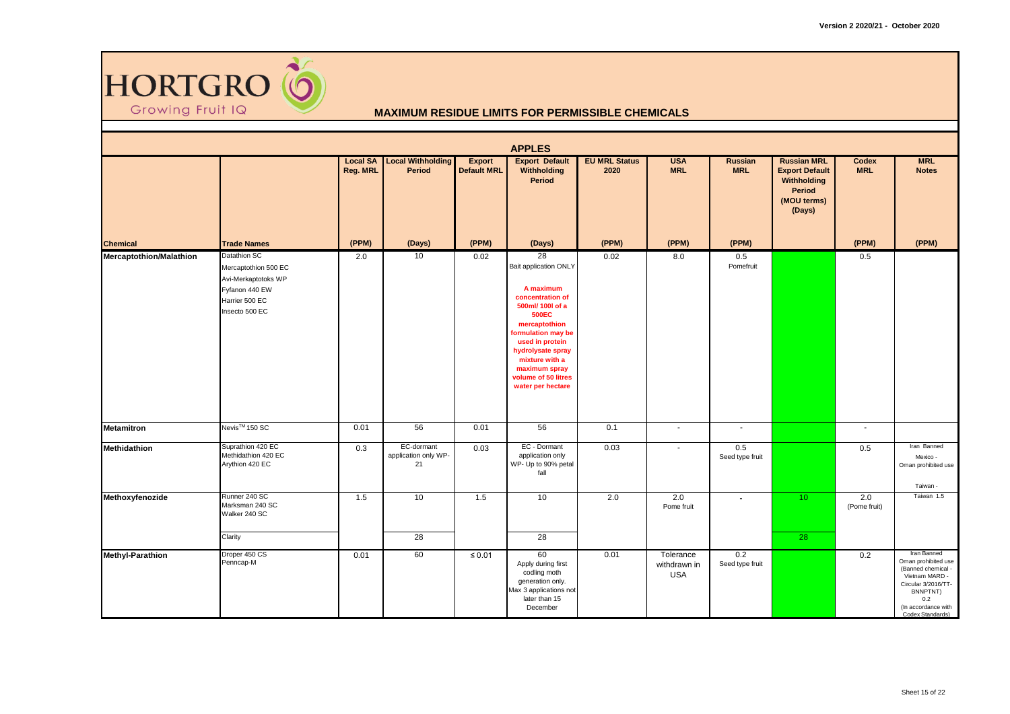

|                                |                                                                                                                          |                             |                                          |                                     | <b>APPLES</b>                                                                                                                                                                                                                                                         |                              |                                         |                        |                                                                                                      |                     |                                                                                                                                                                 |
|--------------------------------|--------------------------------------------------------------------------------------------------------------------------|-----------------------------|------------------------------------------|-------------------------------------|-----------------------------------------------------------------------------------------------------------------------------------------------------------------------------------------------------------------------------------------------------------------------|------------------------------|-----------------------------------------|------------------------|------------------------------------------------------------------------------------------------------|---------------------|-----------------------------------------------------------------------------------------------------------------------------------------------------------------|
|                                |                                                                                                                          | <b>Local SA</b><br>Reg. MRL | <b>Local Withholding</b><br>Period       | <b>Export</b><br><b>Default MRL</b> | <b>Export Default</b><br>Withholding<br><b>Period</b>                                                                                                                                                                                                                 | <b>EU MRL Status</b><br>2020 | <b>USA</b><br><b>MRL</b>                | Russian<br><b>MRL</b>  | <b>Russian MRL</b><br><b>Export Default</b><br>Withholding<br><b>Period</b><br>(MOU terms)<br>(Days) | Codex<br><b>MRL</b> | <b>MRL</b><br><b>Notes</b>                                                                                                                                      |
| <b>Chemical</b>                | <b>Trade Names</b>                                                                                                       | (PPM)                       | (Days)                                   | (PPM)                               | (Days)                                                                                                                                                                                                                                                                | (PPM)                        | (PPM)                                   | (PPM)                  |                                                                                                      | (PPM)               | (PPM)                                                                                                                                                           |
| <b>Mercaptothion/Malathion</b> | <b>Datathion SC</b><br>Mercaptothion 500 EC<br>Avi-Merkaptotoks WP<br>Fyfanon 440 EW<br>Harrier 500 EC<br>Insecto 500 EC | 2.0                         | 10                                       | 0.02                                | 28<br><b>Bait application ONLY</b><br>A maximum<br>concentration of<br>500ml/ 100l of a<br><b>500EC</b><br>mercaptothion<br>formulation may be<br>used in protein<br>hydrolysate spray<br>mixture with a<br>maximum spray<br>volume of 50 litres<br>water per hectare | 0.02                         | 8.0                                     | 0.5<br>Pomefruit       |                                                                                                      | 0.5                 |                                                                                                                                                                 |
| <b>Metamitron</b>              | Nevis <sup>™</sup> 150 SC                                                                                                | 0.01                        | 56                                       | 0.01                                | 56                                                                                                                                                                                                                                                                    | 0.1                          | $\sim$                                  | $\sim$                 |                                                                                                      | $\sim$              |                                                                                                                                                                 |
| Methidathion                   | Suprathion 420 EC<br>Methidathion 420 EC<br>Arythion 420 EC                                                              | 0.3                         | EC-dormant<br>application only WP-<br>21 | 0.03                                | EC - Dormant<br>application only<br>WP- Up to 90% petal<br>fall                                                                                                                                                                                                       | 0.03                         | $\blacksquare$                          | 0.5<br>Seed type fruit |                                                                                                      | 0.5                 | Iran Banned<br>Mexico -<br>Oman prohibited use<br>Taiwan -                                                                                                      |
| Methoxyfenozide                | Runner 240 SC<br>Marksman 240 SC<br>Walker 240 SC<br>Clarity                                                             | 1.5                         | 10<br>28                                 | 1.5                                 | 10<br>28                                                                                                                                                                                                                                                              | 2.0                          | 2.0<br>Pome fruit                       |                        | 10 <sup>°</sup><br>28                                                                                | 2.0<br>(Pome fruit) | Taiwan 1.5                                                                                                                                                      |
| <b>Methyl-Parathion</b>        | Droper 450 CS<br>Penncap-M                                                                                               | 0.01                        | 60                                       | $\leq 0.01$                         | 60<br>Apply during first<br>codling moth<br>generation only.<br>Max 3 applications not<br>later than 15<br>December                                                                                                                                                   | 0.01                         | Tolerance<br>withdrawn in<br><b>USA</b> | 0.2<br>Seed type fruit |                                                                                                      | 0.2                 | Iran Banned<br>Oman prohibited use<br>(Banned chemical -<br>Vietnam MARD -<br>Circular 3/2016/TT-<br>BNNPTNT)<br>0.2<br>(In accordance with<br>Codex Standards) |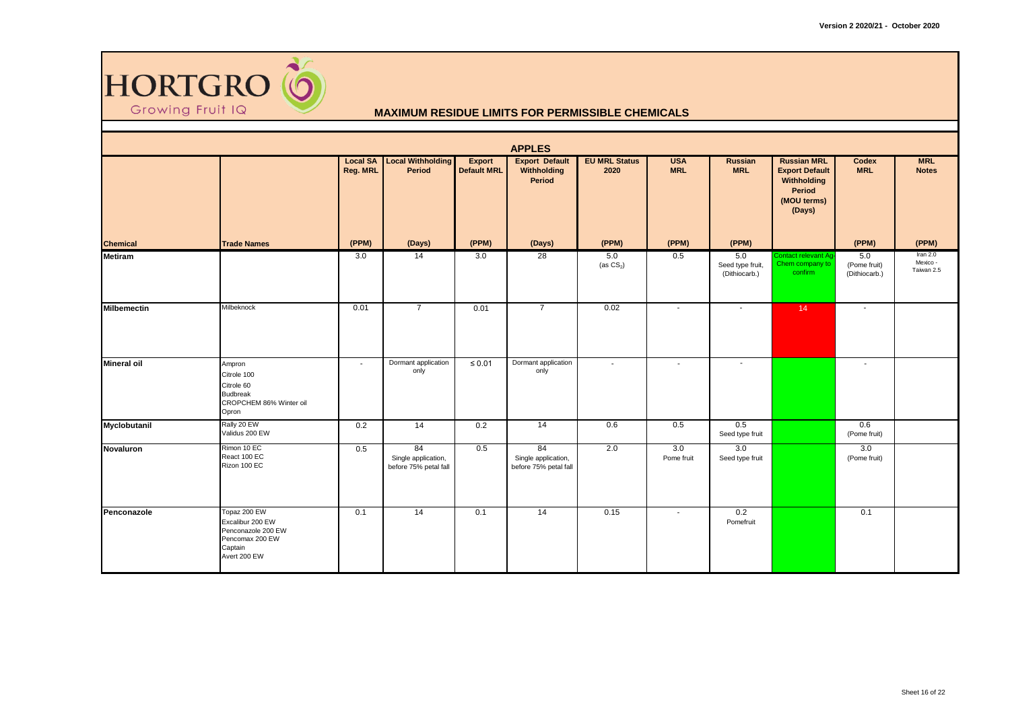

|                    | <b>APPLES</b>                                                                                        |                             |                                                    |                              |                                                    |                              |                          |                                          |                                                                                               |                                      |                                    |  |  |  |
|--------------------|------------------------------------------------------------------------------------------------------|-----------------------------|----------------------------------------------------|------------------------------|----------------------------------------------------|------------------------------|--------------------------|------------------------------------------|-----------------------------------------------------------------------------------------------|--------------------------------------|------------------------------------|--|--|--|
|                    |                                                                                                      | <b>Local SA</b><br>Reg. MRL | <b>Local Withholding</b><br>Period                 | Export<br><b>Default MRL</b> | <b>Export Default</b><br>Withholding<br>Period     | <b>EU MRL Status</b><br>2020 | <b>USA</b><br><b>MRL</b> | <b>Russian</b><br><b>MRL</b>             | <b>Russian MRL</b><br><b>Export Default</b><br>Withholding<br>Period<br>(MOU terms)<br>(Days) | Codex<br><b>MRL</b>                  | <b>MRL</b><br><b>Notes</b>         |  |  |  |
| <b>Chemical</b>    | <b>Trade Names</b>                                                                                   | (PPM)                       | (Days)                                             | (PPM)                        | (Days)                                             | (PPM)                        | (PPM)                    | (PPM)                                    |                                                                                               | (PPM)                                | (PPM)                              |  |  |  |
| <b>Metiram</b>     |                                                                                                      | 3.0                         | 14                                                 | 3.0                          | $\overline{28}$                                    | 5.0<br>(as $CS2$ )           | 0.5                      | 5.0<br>Seed type fruit,<br>(Dithiocarb.) | Contact relevant Ag-<br>Chem company to<br>confirm                                            | 5.0<br>(Pome fruit)<br>(Dithiocarb.) | Iran 2.0<br>Mexico -<br>Taiwan 2.5 |  |  |  |
| <b>Milbemectin</b> | Milbeknock                                                                                           | 0.01                        | $\overline{7}$                                     | 0.01                         | $\overline{7}$                                     | 0.02                         | $\sim$                   |                                          | 14                                                                                            | $\sim$                               |                                    |  |  |  |
| <b>Mineral oil</b> | Ampron<br>Citrole 100<br>Citrole 60<br><b>Budbreak</b><br>CROPCHEM 86% Winter oil<br>Opron           | $\sim$                      | Dormant application<br>only                        | $\leq 0.01$                  | Dormant application<br>only                        | $\sim$                       | $\overline{\phantom{a}}$ | $\sim$                                   |                                                                                               | $\overline{\phantom{a}}$             |                                    |  |  |  |
| Myclobutanil       | Rally 20 EW<br>Validus 200 EW                                                                        | 0.2                         | 14                                                 | 0.2                          | 14                                                 | 0.6                          | 0.5                      | 0.5<br>Seed type fruit                   |                                                                                               | 0.6<br>(Pome fruit)                  |                                    |  |  |  |
| Novaluron          | Rimon 10 EC<br>React 100 EC<br>Rizon 100 EC                                                          | 0.5                         | 84<br>Single application,<br>before 75% petal fall | 0.5                          | 84<br>Single application,<br>before 75% petal fall | 2.0                          | 3.0<br>Pome fruit        | 3.0<br>Seed type fruit                   |                                                                                               | 3.0<br>(Pome fruit)                  |                                    |  |  |  |
| Penconazole        | Topaz 200 EW<br>Excalibur 200 EW<br>Penconazole 200 EW<br>Pencomax 200 EW<br>Captain<br>Avert 200 EW | 0.1                         | $\overline{14}$                                    | 0.1                          | $\overline{14}$                                    | 0.15                         | $\sim$                   | 0.2<br>Pomefruit                         |                                                                                               | 0.1                                  |                                    |  |  |  |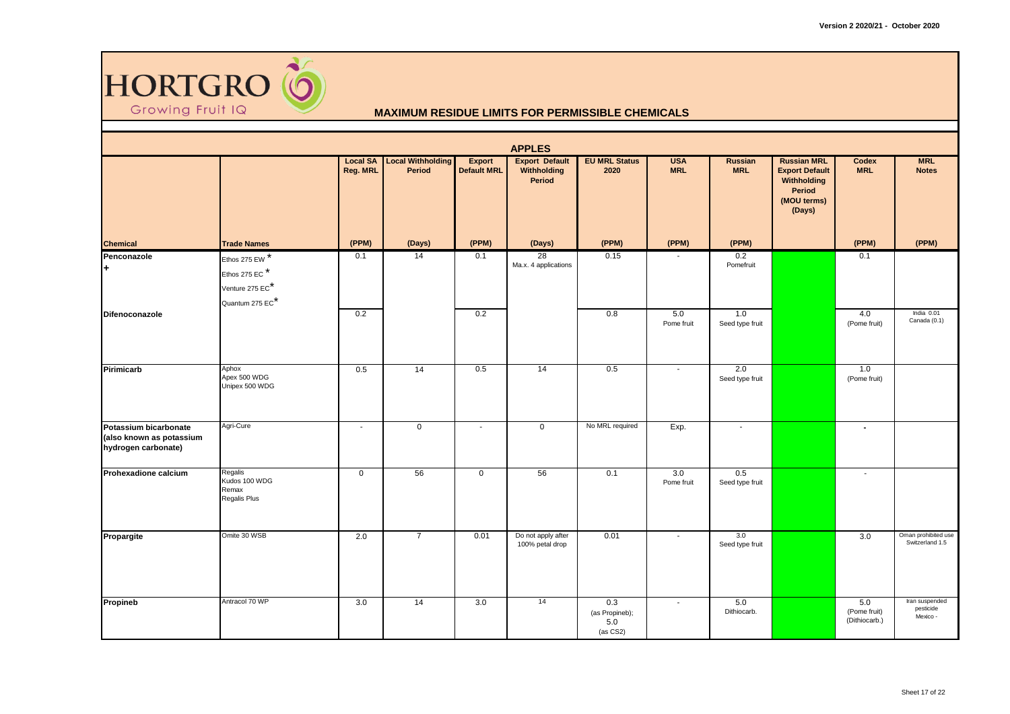

|                                                                          | <b>APPLES</b>                                                         |             |                                             |                              |                                                       |                                          |                          |                              |                                                                                               |                                      |                                         |  |  |
|--------------------------------------------------------------------------|-----------------------------------------------------------------------|-------------|---------------------------------------------|------------------------------|-------------------------------------------------------|------------------------------------------|--------------------------|------------------------------|-----------------------------------------------------------------------------------------------|--------------------------------------|-----------------------------------------|--|--|
|                                                                          |                                                                       | Reg. MRL    | <b>Local SA Local Withholding</b><br>Period | Export<br><b>Default MRL</b> | <b>Export Default</b><br>Withholding<br><b>Period</b> | <b>EU MRL Status</b><br>2020             | <b>USA</b><br><b>MRL</b> | <b>Russian</b><br><b>MRL</b> | <b>Russian MRL</b><br><b>Export Default</b><br>Withholding<br>Period<br>(MOU terms)<br>(Days) | Codex<br><b>MRL</b>                  | <b>MRL</b><br><b>Notes</b>              |  |  |
| <b>Chemical</b>                                                          | <b>Trade Names</b>                                                    | (PPM)       | (Days)                                      | (PPM)                        | (Days)                                                | (PPM)                                    | (PPM)                    | (PPM)                        |                                                                                               | (PPM)                                | (PPM)                                   |  |  |
| Penconazole<br>l+                                                        | Ethos 275 EW *<br>Ethos 275 EC*<br>Venture 275 EC*<br>Quantum 275 EC* | 0.1         | 14                                          | 0.1                          | 28<br>Ma.x. 4 applications                            | 0.15                                     | $\sim$                   | 0.2<br>Pomefruit             |                                                                                               | 0.1                                  |                                         |  |  |
| Difenoconazole                                                           |                                                                       | 0.2         |                                             | 0.2                          |                                                       | 0.8                                      | 5.0<br>Pome fruit        | 1.0<br>Seed type fruit       |                                                                                               | 4.0<br>(Pome fruit)                  | India 0.01<br>Canada (0.1)              |  |  |
| Pirimicarb                                                               | Aphox<br>Apex 500 WDG<br>Unipex 500 WDG                               | 0.5         | 14                                          | 0.5                          | 14                                                    | 0.5                                      | $\blacksquare$           | 2.0<br>Seed type fruit       |                                                                                               | 1.0<br>(Pome fruit)                  |                                         |  |  |
| Potassium bicarbonate<br>(also known as potassium<br>hydrogen carbonate) | Agri-Cure                                                             | $\sim$      | $\mathbf{0}$                                | $\overline{\phantom{a}}$     | $\mathsf 0$                                           | No MRL required                          | Exp.                     | $\blacksquare$               |                                                                                               | $\blacksquare$                       |                                         |  |  |
| Prohexadione calcium                                                     | Regalis<br>Kudos 100 WDG<br>Remax<br>Regalis Plus                     | $\mathbf 0$ | 56                                          | $\mathbf 0$                  | 56                                                    | 0.1                                      | 3.0<br>Pome fruit        | 0.5<br>Seed type fruit       |                                                                                               | $\overline{\phantom{a}}$             |                                         |  |  |
| Propargite                                                               | Omite 30 WSB                                                          | 2.0         | $\overline{7}$                              | 0.01                         | Do not apply after<br>100% petal drop                 | 0.01                                     | $\sim$                   | 3.0<br>Seed type fruit       |                                                                                               | 3.0                                  | Oman prohibited use<br>Switzerland 1.5  |  |  |
| Propineb                                                                 | Antracol 70 WP                                                        | 3.0         | 14                                          | 3.0                          | 14                                                    | 0.3<br>(as Propineb);<br>5.0<br>(as CS2) | $\sim$                   | 5.0<br>Dithiocarb.           |                                                                                               | 5.0<br>(Pome fruit)<br>(Dithiocarb.) | Iran suspended<br>pesticide<br>Mexico - |  |  |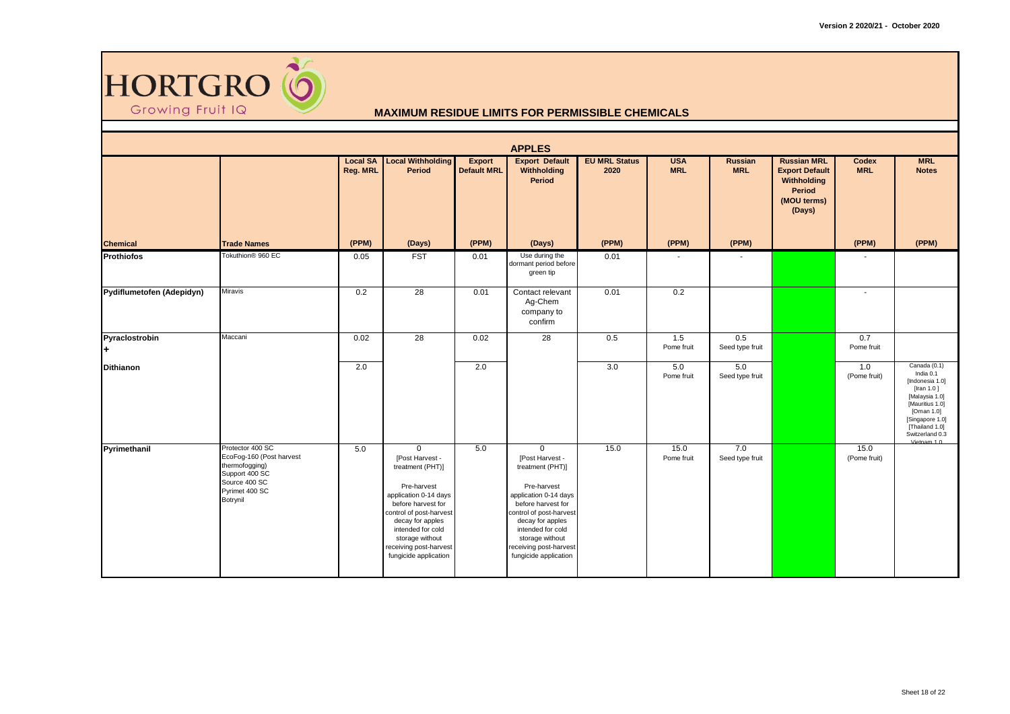

|                           |                                                                                                                                 |                             |                                                                                                                                                                                                                                                         |                                     | <b>APPLES</b>                                                                                                                                                                                                                                              |                              |                          |                              |                                                                                               |                      |                                                                                                                                                                                      |
|---------------------------|---------------------------------------------------------------------------------------------------------------------------------|-----------------------------|---------------------------------------------------------------------------------------------------------------------------------------------------------------------------------------------------------------------------------------------------------|-------------------------------------|------------------------------------------------------------------------------------------------------------------------------------------------------------------------------------------------------------------------------------------------------------|------------------------------|--------------------------|------------------------------|-----------------------------------------------------------------------------------------------|----------------------|--------------------------------------------------------------------------------------------------------------------------------------------------------------------------------------|
|                           |                                                                                                                                 | <b>Local SA</b><br>Reg. MRL | <b>Local Withholding</b><br><b>Period</b>                                                                                                                                                                                                               | <b>Export</b><br><b>Default MRL</b> | <b>Export Default</b><br>Withholding<br>Period                                                                                                                                                                                                             | <b>EU MRL Status</b><br>2020 | <b>USA</b><br><b>MRL</b> | <b>Russian</b><br><b>MRL</b> | <b>Russian MRL</b><br><b>Export Default</b><br>Withholding<br>Period<br>(MOU terms)<br>(Days) | Codex<br><b>MRL</b>  | <b>MRL</b><br><b>Notes</b>                                                                                                                                                           |
| <b>Chemical</b>           | <b>Trade Names</b>                                                                                                              | (PPM)                       | (Days)                                                                                                                                                                                                                                                  | (PPM)                               | (Days)                                                                                                                                                                                                                                                     | (PPM)                        | (PPM)                    | (PPM)                        |                                                                                               | (PPM)                | (PPM)                                                                                                                                                                                |
| <b>Prothiofos</b>         | Tokuthion <sup>®</sup> 960 EC                                                                                                   | 0.05                        | <b>FST</b>                                                                                                                                                                                                                                              | 0.01                                | Use during the<br>dormant period before<br>green tip                                                                                                                                                                                                       | 0.01                         |                          |                              |                                                                                               |                      |                                                                                                                                                                                      |
| Pydiflumetofen (Adepidyn) | <b>Miravis</b>                                                                                                                  | 0.2                         | $\overline{28}$                                                                                                                                                                                                                                         | 0.01                                | Contact relevant<br>Ag-Chem<br>company to<br>confirm                                                                                                                                                                                                       | 0.01                         | 0.2                      |                              |                                                                                               | $\blacksquare$       |                                                                                                                                                                                      |
| Pyraclostrobin<br>l+      | Maccani                                                                                                                         | 0.02                        | 28                                                                                                                                                                                                                                                      | 0.02                                | 28                                                                                                                                                                                                                                                         | 0.5                          | 1.5<br>Pome fruit        | 0.5<br>Seed type fruit       |                                                                                               | 0.7<br>Pome fruit    |                                                                                                                                                                                      |
| <b>Dithianon</b>          |                                                                                                                                 | 2.0                         |                                                                                                                                                                                                                                                         | 2.0                                 |                                                                                                                                                                                                                                                            | 3.0                          | 5.0<br>Pome fruit        | 5.0<br>Seed type fruit       |                                                                                               | 1.0<br>(Pome fruit)  | Canada (0.1)<br>India 0.1<br>[Indonesia 1.0]<br>[Iran 1.0]<br>[Malaysia 1.0]<br>[Mauritius 1.0]<br>[Oman 1.0]<br>[Singapore 1.0]<br>[Thailand 1.0]<br>Switzerland 0.3<br>Vietnam 1.0 |
| Pyrimethanil              | Protector 400 SC<br>EcoFog-160 (Post harvest<br>thermofogging)<br>Support 400 SC<br>Source 400 SC<br>Pyrimet 400 SC<br>Botrynil | 5.0                         | $\Omega$<br>[Post Harvest -<br>treatment (PHT)]<br>Pre-harvest<br>application 0-14 days<br>before harvest for<br>control of post-harvest<br>decay for apples<br>intended for cold<br>storage without<br>receiving post-harvest<br>fungicide application | 5.0                                 | $\mathbf 0$<br>[Post Harvest -<br>treatment (PHT)]<br>Pre-harvest<br>application 0-14 days<br>before harvest for<br>control of post-harvest<br>decay for apples<br>intended for cold<br>storage without<br>receiving post-harvest<br>fungicide application | 15.0                         | 15.0<br>Pome fruit       | 7.0<br>Seed type fruit       |                                                                                               | 15.0<br>(Pome fruit) |                                                                                                                                                                                      |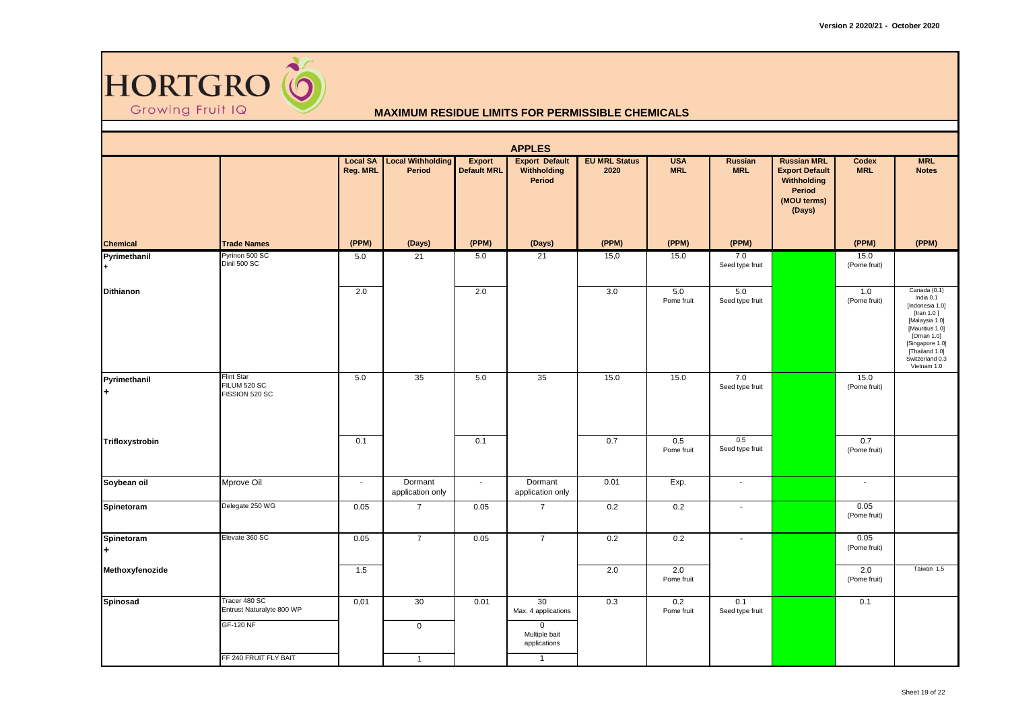

|                   | <b>APPLES</b>                                       |                             |                                    |                                     |                                                       |                              |                          |                        |                                                                                               |                      |                                                                                                                                                                                      |  |  |  |
|-------------------|-----------------------------------------------------|-----------------------------|------------------------------------|-------------------------------------|-------------------------------------------------------|------------------------------|--------------------------|------------------------|-----------------------------------------------------------------------------------------------|----------------------|--------------------------------------------------------------------------------------------------------------------------------------------------------------------------------------|--|--|--|
|                   |                                                     | <b>Local SA</b><br>Reg. MRL | <b>Local Withholding</b><br>Period | <b>Export</b><br><b>Default MRL</b> | <b>Export Default</b><br>Withholding<br><b>Period</b> | <b>EU MRL Status</b><br>2020 | <b>USA</b><br><b>MRL</b> | Russian<br><b>MRL</b>  | <b>Russian MRL</b><br><b>Export Default</b><br>Withholding<br>Period<br>(MOU terms)<br>(Days) | Codex<br><b>MRL</b>  | <b>MRL</b><br><b>Notes</b>                                                                                                                                                           |  |  |  |
| <b>Chemical</b>   | <b>Trade Names</b>                                  | (PPM)                       | (Days)                             | (PPM)                               | (Days)                                                | (PPM)                        | (PPM)                    | (PPM)                  |                                                                                               | (PPM)                | (PPM)                                                                                                                                                                                |  |  |  |
| Pyrimethanil      | Pyrinon 500 SC<br>Dinil 500 SC                      | 5.0                         | 21                                 | 5.0                                 | 21                                                    | 15,0                         | 15.0                     | 7.0<br>Seed type fruit |                                                                                               | 15.0<br>(Pome fruit) |                                                                                                                                                                                      |  |  |  |
| <b>Dithianon</b>  |                                                     | 2.0                         |                                    | 2.0                                 |                                                       | 3.0                          | 5.0<br>Pome fruit        | 5.0<br>Seed type fruit |                                                                                               | 1.0<br>(Pome fruit)  | Canada (0.1)<br>India 0.1<br>[Indonesia 1.0]<br>[Iran 1.0]<br>[Malaysia 1.0]<br>[Mauritius 1.0]<br>[Oman 1.0]<br>[Singapore 1.0]<br>[Thailand 1.0]<br>Switzerland 0.3<br>Vietnam 1.0 |  |  |  |
| Pyrimethanil<br>÷ | <b>Flint Star</b><br>FILUM 520 SC<br>FISSION 520 SC | 5.0                         | 35                                 | 5.0                                 | 35                                                    | 15.0                         | $\overline{15.0}$        | 7.0<br>Seed type fruit |                                                                                               | 15.0<br>(Pome fruit) |                                                                                                                                                                                      |  |  |  |
| Trifloxystrobin   |                                                     | 0.1                         |                                    | 0.1                                 |                                                       | 0.7                          | 0.5<br>Pome fruit        | 0.5<br>Seed type fruit |                                                                                               | 0.7<br>(Pome fruit)  |                                                                                                                                                                                      |  |  |  |
| Soybean oil       | Mprove Oil                                          | $\sim$                      | Dormant<br>application only        | $\blacksquare$                      | Dormant<br>application only                           | 0.01                         | Exp.                     | $\sim$                 |                                                                                               | $\blacksquare$       |                                                                                                                                                                                      |  |  |  |
| Spinetoram        | Delegate 250 WG                                     | 0.05                        | $\overline{7}$                     | 0.05                                | $\overline{7}$                                        | 0.2                          | 0.2                      | $\blacksquare$         |                                                                                               | 0.05<br>(Pome fruit) |                                                                                                                                                                                      |  |  |  |
| Spinetoram<br>÷   | Elevate 360 SC                                      | 0.05                        | $\overline{7}$                     | 0.05                                | $\overline{7}$                                        | 0.2                          | 0.2                      | $\overline{a}$         |                                                                                               | 0.05<br>(Pome fruit) |                                                                                                                                                                                      |  |  |  |
| Methoxyfenozide   |                                                     | 1.5                         |                                    |                                     |                                                       | 2.0                          | 2.0<br>Pome fruit        |                        |                                                                                               | 2.0<br>(Pome fruit)  | Taiwan 1.5                                                                                                                                                                           |  |  |  |
| Spinosad          | Tracer 480 SC<br>Entrust Naturalyte 800 WP          | 0,01                        | 30                                 | 0.01                                | 30<br>Max. 4 applications                             | 0.3                          | 0.2<br>Pome fruit        | 0.1<br>Seed type fruit |                                                                                               | 0.1                  |                                                                                                                                                                                      |  |  |  |
|                   | <b>GF-120 NF</b>                                    |                             | $\mathbf 0$                        |                                     | $\mathbf{0}$<br>Multiple bait<br>applications         |                              |                          |                        |                                                                                               |                      |                                                                                                                                                                                      |  |  |  |
|                   | FF 240 FRUIT FLY BAIT                               |                             | $\mathbf{1}$                       |                                     | $\overline{1}$                                        |                              |                          |                        |                                                                                               |                      |                                                                                                                                                                                      |  |  |  |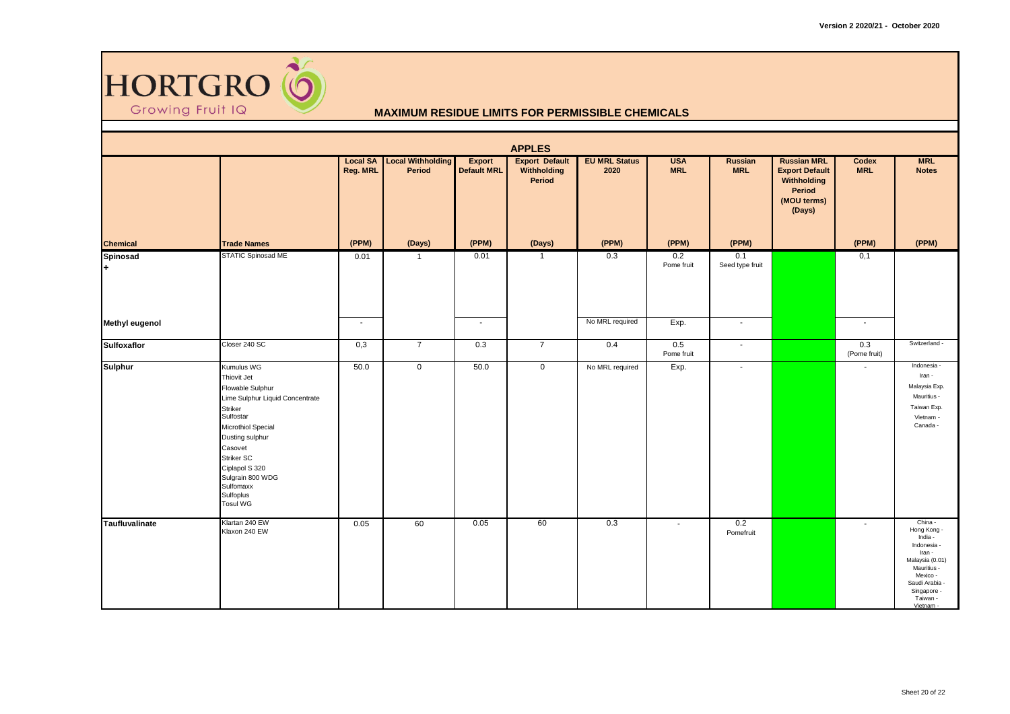

|                       | <b>APPLES</b>                                                                                                                                                                                                                                                        |                             |                                    |                                     |                                                |                              |                          |                          |                                                                                               |                     |                                                                                                                                                                  |  |  |  |
|-----------------------|----------------------------------------------------------------------------------------------------------------------------------------------------------------------------------------------------------------------------------------------------------------------|-----------------------------|------------------------------------|-------------------------------------|------------------------------------------------|------------------------------|--------------------------|--------------------------|-----------------------------------------------------------------------------------------------|---------------------|------------------------------------------------------------------------------------------------------------------------------------------------------------------|--|--|--|
|                       |                                                                                                                                                                                                                                                                      | <b>Local SA</b><br>Reg. MRL | <b>Local Withholding</b><br>Period | <b>Export</b><br><b>Default MRL</b> | <b>Export Default</b><br>Withholding<br>Period | <b>EU MRL Status</b><br>2020 | <b>USA</b><br><b>MRL</b> | Russian<br><b>MRL</b>    | <b>Russian MRL</b><br><b>Export Default</b><br>Withholding<br>Period<br>(MOU terms)<br>(Days) | Codex<br><b>MRL</b> | <b>MRL</b><br><b>Notes</b>                                                                                                                                       |  |  |  |
| <b>Chemical</b>       | <b>Trade Names</b>                                                                                                                                                                                                                                                   | (PPM)                       | (Days)                             | (PPM)                               | (Days)                                         | (PPM)                        | (PPM)                    | (PPM)                    |                                                                                               | (PPM)               | (PPM)                                                                                                                                                            |  |  |  |
| Spinosad<br>l+.       | STATIC Spinosad ME                                                                                                                                                                                                                                                   | 0.01                        | $\overline{1}$                     | 0.01                                | $\overline{1}$                                 | 0.3                          | 0.2<br>Pome fruit        | 0.1<br>Seed type fruit   |                                                                                               | 0,1                 |                                                                                                                                                                  |  |  |  |
| <b>Methyl eugenol</b> |                                                                                                                                                                                                                                                                      | $\sim$                      |                                    | $\sim$                              |                                                | No MRL required              | Exp.                     | $\sim$                   |                                                                                               | $\sim$              |                                                                                                                                                                  |  |  |  |
| <b>Sulfoxaflor</b>    | Closer 240 SC                                                                                                                                                                                                                                                        | 0,3                         | $\overline{7}$                     | 0.3                                 | $\overline{7}$                                 | 0.4                          | 0.5<br>Pome fruit        | $\sim$                   |                                                                                               | 0.3<br>(Pome fruit) | Switzerland -                                                                                                                                                    |  |  |  |
| <b>Sulphur</b>        | Kumulus WG<br>Thiovit Jet<br>Flowable Sulphur<br>Lime Sulphur Liquid Concentrate<br><b>Striker</b><br>Sulfostar<br>Microthiol Special<br>Dusting sulphur<br>Casovet<br>Striker SC<br>Ciplapol S 320<br>Sulgrain 800 WDG<br>Sulfomaxx<br>Sulfoplus<br><b>Tosul WG</b> | 50.0                        | $\mathbf 0$                        | 50.0                                | $\mathbf 0$                                    | No MRL required              | Exp.                     | $\overline{\phantom{a}}$ |                                                                                               | $\sim$              | Indonesia -<br>Iran -<br>Malaysia Exp.<br>Mauritius -<br>Taiwan Exp.<br>Vietnam -<br>Canada -                                                                    |  |  |  |
| <b>Taufluvalinate</b> | Klartan 240 EW<br>Klaxon 240 EW                                                                                                                                                                                                                                      | 0.05                        | 60                                 | 0.05                                | 60                                             | 0.3                          | $\sim$                   | 0.2<br>Pomefruit         |                                                                                               | $\sim$              | China -<br>Hong Kong -<br>India -<br>Indonesia -<br>Iran -<br>Malaysia (0.01)<br>Mauritius -<br>Mexico -<br>Saudi Arabia -<br>Singapore -<br>Taiwan -<br>Vietnam |  |  |  |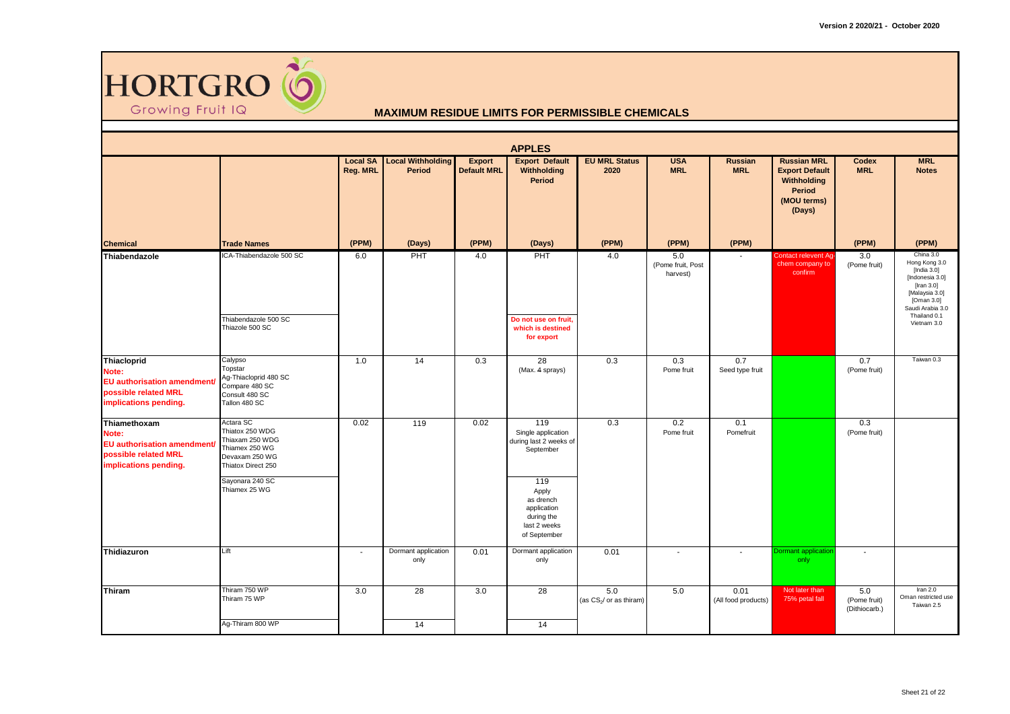

|                                                                                                              |                                                                                                           |                             |                                    |                              | <b>APPLES</b>                                                                          |                                            |                                      |                             |                                                                                                      |                                      |                                                                                                                                      |
|--------------------------------------------------------------------------------------------------------------|-----------------------------------------------------------------------------------------------------------|-----------------------------|------------------------------------|------------------------------|----------------------------------------------------------------------------------------|--------------------------------------------|--------------------------------------|-----------------------------|------------------------------------------------------------------------------------------------------|--------------------------------------|--------------------------------------------------------------------------------------------------------------------------------------|
|                                                                                                              |                                                                                                           | <b>Local SA</b><br>Reg. MRL | <b>Local Withholding</b><br>Period | Export<br><b>Default MRL</b> | <b>Export Default</b><br>Withholding<br>Period                                         | <b>EU MRL Status</b><br>2020               | <b>USA</b><br><b>MRL</b>             | Russian<br><b>MRL</b>       | <b>Russian MRL</b><br><b>Export Default</b><br>Withholding<br><b>Period</b><br>(MOU terms)<br>(Days) | <b>Codex</b><br><b>MRL</b>           | <b>MRL</b><br><b>Notes</b>                                                                                                           |
| <b>Chemical</b>                                                                                              | <b>Trade Names</b>                                                                                        | (PPM)                       | (Days)                             | (PPM)                        | (Days)                                                                                 | (PPM)                                      | (PPM)                                | (PPM)                       |                                                                                                      | (PPM)                                | (PPM)                                                                                                                                |
| Thiabendazole                                                                                                | ICA-Thiabendazole 500 SC                                                                                  | 6.0                         | PHT                                | 4.0                          | PHT                                                                                    | 4.0                                        | 5.0<br>(Pome fruit, Post<br>harvest) |                             | Contact relevent Ag-<br>chem company to<br>confirm                                                   | 3.0<br>(Pome fruit)                  | China 3.0<br>Hong Kong 3.0<br>[India $3.0$ ]<br>[Indonesia 3.0]<br>[Iran $3.0$ ]<br>[Malaysia 3.0]<br>[Oman 3.0]<br>Saudi Arabia 3.0 |
|                                                                                                              | Thiabendazole 500 SC<br>Thiazole 500 SC                                                                   |                             |                                    |                              | Do not use on fruit.<br>which is destined<br>for export                                |                                            |                                      |                             |                                                                                                      |                                      | Thailand 0.1<br>Vietnam 3.0                                                                                                          |
| Thiacloprid<br>Note:<br><b>EU</b> authorisation amendment/<br>possible related MRL<br>implications pending.  | Calypso<br>Topstar<br>Ag-Thiacloprid 480 SC<br>Compare 480 SC<br>Consult 480 SC<br>Tallon 480 SC          | 1.0                         | 14                                 | 0.3                          | $\overline{28}$<br>(Max. 4 sprays)                                                     | 0.3                                        | 0.3<br>Pome fruit                    | 0.7<br>Seed type fruit      |                                                                                                      | 0.7<br>(Pome fruit)                  | Taiwan 0.3                                                                                                                           |
| Thiamethoxam<br>Note:<br><b>EU authorisation amendment/</b><br>possible related MRL<br>implications pending. | Actara SC<br>Thiatox 250 WDG<br>Thiaxam 250 WDG<br>Thiamex 250 WG<br>Devaxam 250 WG<br>Thiatox Direct 250 | 0.02                        | 119                                | 0.02                         | 119<br>Single application<br>during last 2 weeks of<br>September                       | 0.3                                        | 0.2<br>Pome fruit                    | 0.1<br>Pomefruit            |                                                                                                      | 0.3<br>(Pome fruit)                  |                                                                                                                                      |
|                                                                                                              | Sayonara 240 SC<br>Thiamex 25 WG                                                                          |                             |                                    |                              | 119<br>Apply<br>as drench<br>application<br>during the<br>last 2 weeks<br>of September |                                            |                                      |                             |                                                                                                      |                                      |                                                                                                                                      |
| Thidiazuron                                                                                                  | Lift                                                                                                      | $\overline{\phantom{a}}$    | Dormant application<br>only        | 0.01                         | Dormant application<br>only                                                            | 0.01                                       | $\sim$                               | $\overline{\phantom{a}}$    | Dormant applicatior<br>only                                                                          | $\sim$                               |                                                                                                                                      |
| Thiram                                                                                                       | Thiram 750 WP<br>Thiram 75 WP                                                                             | 3.0                         | 28                                 | 3.0                          | 28                                                                                     | 5.0<br>(as CS <sub>2</sub> / or as thiram) | 5.0                                  | 0.01<br>(All food products) | Not later than<br>75% petal fall                                                                     | 5.0<br>(Pome fruit)<br>(Dithiocarb.) | Iran $2.0$<br>Oman restricted use<br>Taiwan 2.5                                                                                      |
|                                                                                                              | Ag-Thiram 800 WP                                                                                          |                             | 14                                 |                              | 14                                                                                     |                                            |                                      |                             |                                                                                                      |                                      |                                                                                                                                      |